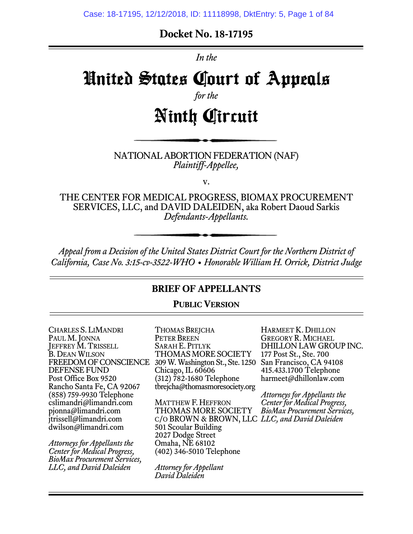## **Docket No. 18-17195**

*In the*

# United States Court of Appeals

*for the*

# Ninth Circuit

#### NATIONAL ABORTION FEDERATION (NAF) *Plaintiff-Appellee,*

v.

THE CENTER FOR MEDICAL PROGRESS, BIOMAX PROCUREMENT SERVICES, LLC, and DAVID DALEIDEN, aka Robert Daoud Sarkis *Defendants-Appellants.*

*Appeal from a Decision of the United States District Court for the Northern District of California, Case No. 3:15-cv-3522-WHO • Honorable William H. Orrick, District Judge*

## **BRIEF OF APPELLANTS**

#### **PUBLIC VERSION**

CHARLES S. LIMANDRI PAUL M. JONNA **JEFFREY M. TRISSELL** B. DEAN WILSON FREEDOM OF CONSCIENCE DEFENSE FUND Post Office Box 9520 Rancho Santa Fe, CA 92067 (858) 759-9930 Telephone cslimandri@limandri.com pjonna@limandri.com jtrissell@limandri.com dwilson@limandri.com

*Attorneys for Appellants the Center for Medical Progress, BioMax Procurement Services, LLC, and David Daleiden*

THOMAS BREJCHA PETER BREEN SARAH E. PITLYK THOMAS MORE SOCIETY 309 W. Washington St., Ste. 1250 San Francisco, CA 94108 Chicago, IL 60606 (312) 782-1680 Telephone tbrejcha@thomasmoresociety.org

MATTHEW F. HEFFRON THOMAS MORE SOCIETY C/O BROWN & BROWN, LLC *LLC, and David Daleiden* 501 Scoular Building 2027 Dodge Street Omaha, NE 68102 (402) 346-5010 Telephone

*Attorney for Appellant David Daleiden*

HARMEET K. DHILLON GREGORY R. MICHAEL DHILLON LAW GROUP INC. 177 Post St., Ste. 700 415.433.1700 Telephone harmeet@dhillonlaw.com

*Attorneys for Appellants the Center for Medical Progress, BioMax Procurement Services,*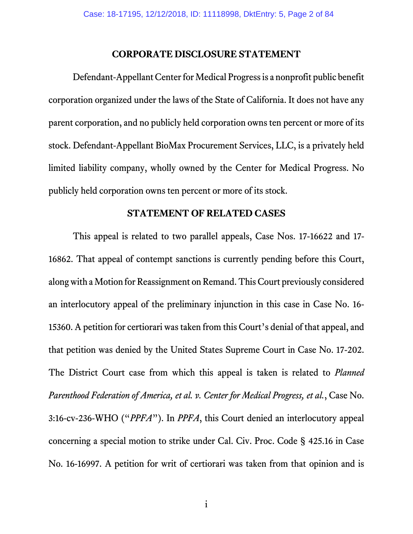#### **CORPORATE DISCLOSURE STATEMENT**

<span id="page-1-0"></span>Defendant-Appellant Center for Medical Progress is a nonprofit public benefit corporation organized under the laws of the State of California. It does not have any parent corporation, and no publicly held corporation owns ten percent or more of its stock. Defendant-Appellant BioMax Procurement Services, LLC, is a privately held limited liability company, wholly owned by the Center for Medical Progress. No publicly held corporation owns ten percent or more of its stock.

#### **STATEMENT OF RELATED CASES**

<span id="page-1-1"></span>This appeal is related to two parallel appeals, Case Nos. 17-16622 and 17- 16862. That appeal of contempt sanctions is currently pending before this Court, along with a Motion for Reassignment on Remand. This Court previously considered an interlocutory appeal of the preliminary injunction in this case in Case No. 16- 15360. A petition for certiorari was taken from this Court's denial of that appeal, and that petition was denied by the United States Supreme Court in Case No. 17-202. The District Court case from which this appeal is taken is related to *Planned Parenthood Federation of America, et al. v. Center for Medical Progress, et al.*, Case No. 3:16-cv-236-WHO ("*PPFA*"). In *PPFA*, this Court denied an interlocutory appeal concerning a special motion to strike under Cal. Civ. Proc. Code § 425.16 in Case No. 16-16997. A petition for writ of certiorari was taken from that opinion and is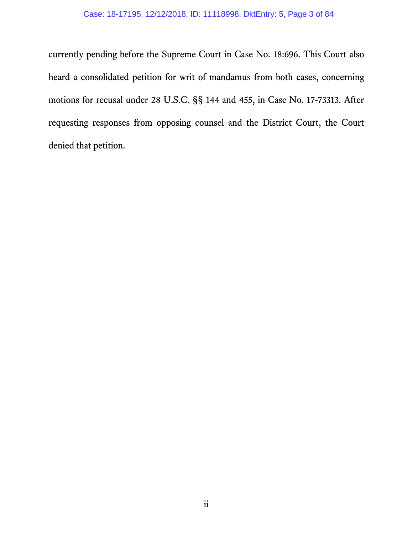currently pending before the Supreme Court in Case No. 18:696. This Court also heard a consolidated petition for writ of mandamus from both cases, concerning motions for recusal under 28 U.S.C. §§ 144 and 455, in Case No. 17-73313. After requesting responses from opposing counsel and the District Court, the Court denied that petition.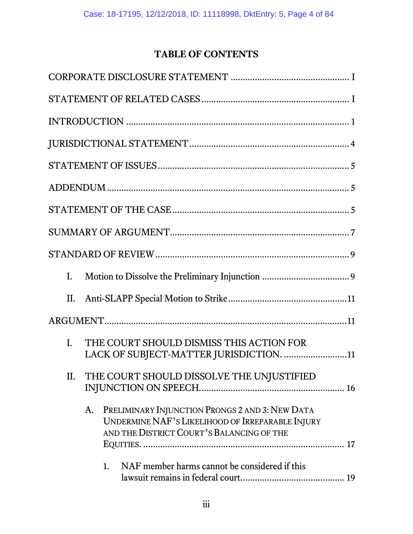# **TABLE OF CONTENTS**

| L.                                                                                                                                                     |  |
|--------------------------------------------------------------------------------------------------------------------------------------------------------|--|
| II.                                                                                                                                                    |  |
|                                                                                                                                                        |  |
| THE COURT SHOULD DISMISS THIS ACTION FOR<br>$\mathbf{L}$<br>LACK OF SUBJECT-MATTER JURISDICTION. 11                                                    |  |
| THE COURT SHOULD DISSOLVE THE UNJUSTIFIED<br>П.                                                                                                        |  |
| PRELIMINARY INJUNCTION PRONGS 2 AND 3: NEW DATA<br>A.<br>UNDERMINE NAF'S LIKELIHOOD OF IRREPARABLE INJURY<br>AND THE DISTRICT COURT'S BALANCING OF THE |  |
| NAF member harms cannot be considered if this<br>1.                                                                                                    |  |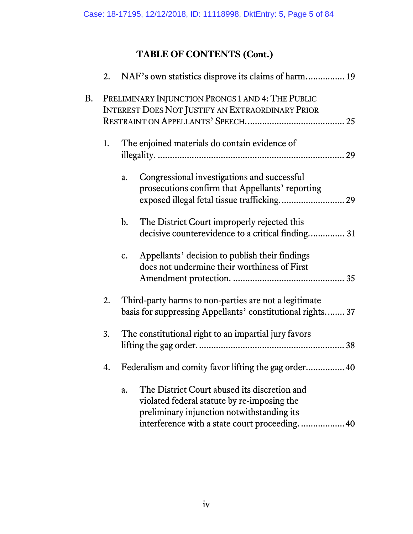# **TABLE OF CONTENTS (Cont.)**

|    |    | 2. NAF's own statistics disprove its claims of harm 19                                                                                                                                              |
|----|----|-----------------------------------------------------------------------------------------------------------------------------------------------------------------------------------------------------|
| B. |    | PRELIMINARY INJUNCTION PRONGS 1 AND 4: THE PUBLIC<br>INTEREST DOES NOT JUSTIFY AN EXTRAORDINARY PRIOR                                                                                               |
|    |    |                                                                                                                                                                                                     |
|    | 1. | The enjoined materials do contain evidence of                                                                                                                                                       |
|    |    | Congressional investigations and successful<br>a.<br>prosecutions confirm that Appellants' reporting<br>exposed illegal fetal tissue trafficking 29                                                 |
|    |    | The District Court improperly rejected this<br>$\mathbf{b}$ .<br>decisive counterevidence to a critical finding 31                                                                                  |
|    |    | Appellants' decision to publish their findings<br>$c_{\cdot}$<br>does not undermine their worthiness of First                                                                                       |
|    | 2. | Third-party harms to non-parties are not a legitimate<br>basis for suppressing Appellants' constitutional rights 37                                                                                 |
|    | 3. | The constitutional right to an impartial jury favors                                                                                                                                                |
|    | 4. | Federalism and comity favor lifting the gag order 40                                                                                                                                                |
|    |    | The District Court abused its discretion and<br>a.<br>violated federal statute by re-imposing the<br>preliminary injunction notwithstanding its<br>interference with a state court proceeding<br>40 |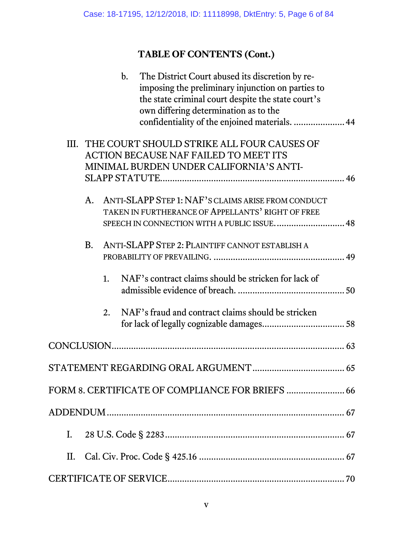# **TABLE OF CONTENTS (Cont.)**

| The District Court abused its discretion by re-<br>$\mathbf{b}$ .      |
|------------------------------------------------------------------------|
| imposing the preliminary injunction on parties to                      |
| the state criminal court despite the state court's                     |
| own differing determination as to the                                  |
| confidentiality of the enjoined materials.  44                         |
|                                                                        |
| III. THE COURT SHOULD STRIKE ALL FOUR CAUSES OF                        |
| <b>ACTION BECAUSE NAF FAILED TO MEET ITS</b>                           |
| MINIMAL BURDEN UNDER CALIFORNIA'S ANTI-                                |
|                                                                        |
| ANTI-SLAPP STEP 1: NAF'S CLAIMS ARISE FROM CONDUCT<br>A.               |
| TAKEN IN FURTHERANCE OF APPELLANTS' RIGHT OF FREE                      |
|                                                                        |
| SPEECH IN CONNECTION WITH A PUBLIC ISSUE 48                            |
| ANTI-SLAPP STEP 2: PLAINTIFF CANNOT ESTABLISH A<br><b>B.</b>           |
|                                                                        |
|                                                                        |
| NAF's contract claims should be stricken for lack of<br>1.             |
|                                                                        |
|                                                                        |
| NAF's fraud and contract claims should be stricken<br>$\overline{2}$ . |
|                                                                        |
|                                                                        |
|                                                                        |
|                                                                        |
|                                                                        |
|                                                                        |
| FORM 8. CERTIFICATE OF COMPLIANCE FOR BRIEFS  66                       |
|                                                                        |
|                                                                        |
| $\mathbf{I}$ .                                                         |
|                                                                        |
|                                                                        |
|                                                                        |
|                                                                        |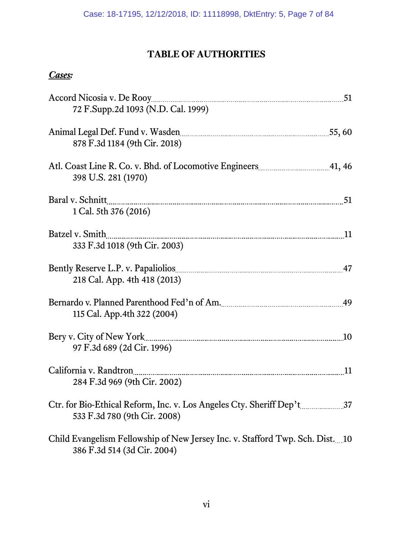# **TABLE OF AUTHORITIES**

| 72 F.Supp.2d 1093 (N.D. Cal. 1999)                                                                           | 51 |
|--------------------------------------------------------------------------------------------------------------|----|
| Animal Legal Def. Fund v. Wasden [11] Manuscript 2014 15, 60<br>878 F.3d 1184 (9th Cir. 2018)                |    |
| Atl. Coast Line R. Co. v. Bhd. of Locomotive Engineers 2014 1, 46<br>398 U.S. 281 (1970)                     |    |
| Baral v. Schnitt<br>1 Cal. 5th 376 (2016)                                                                    | 51 |
| Batzel v. Smith<br>333 F.3d 1018 (9th Cir. 2003)                                                             | 11 |
| 218 Cal. App. 4th 418 (2013)                                                                                 | 47 |
| 115 Cal. App. 4th 322 (2004)                                                                                 | 49 |
| Bery v. City of New York<br>97 F.3d 689 (2d Cir. 1996)                                                       | 10 |
| California v. Randtron<br>284 F.3d 969 (9th Cir. 2002)                                                       | 11 |
| 533 F.3d 780 (9th Cir. 2008)                                                                                 |    |
| Child Evangelism Fellowship of New Jersey Inc. v. Stafford Twp. Sch. Dist. 10<br>386 F.3d 514 (3d Cir. 2004) |    |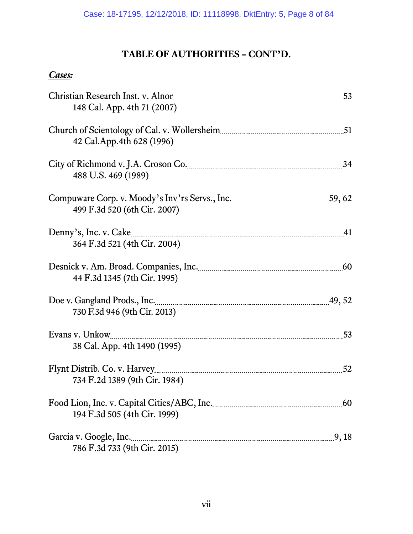| Christian Research Inst. v. Alnor<br>148 Cal. App. 4th 71 (2007)                                                         | 53 |
|--------------------------------------------------------------------------------------------------------------------------|----|
| 42 Cal.App.4th 628 (1996)                                                                                                | 51 |
| 488 U.S. 469 (1989)                                                                                                      | 34 |
| 499 F.3d 520 (6th Cir. 2007)                                                                                             |    |
| Denny's, Inc. v. Cake                                                                                                    | 41 |
| 364 F.3d 521 (4th Cir. 2004)                                                                                             |    |
| Desnick v. Am. Broad. Companies, Inc. [11] Marian Marian Marian Marian Marian Marian Marian Marian Marian Mari           | 60 |
| 44 F.3d 1345 (7th Cir. 1995)                                                                                             |    |
| Doe v. Gangland Prods., Inc. <u>1998.</u> The Contract of the Section 20, 52                                             |    |
| 730 F.3d 946 (9th Cir. 2013)                                                                                             |    |
| Evans v. Unkow                                                                                                           | 53 |
| 38 Cal. App. 4th 1490 (1995)                                                                                             |    |
|                                                                                                                          | 52 |
| 734 F.2d 1389 (9th Cir. 1984)                                                                                            |    |
| 194 F.3d 505 (4th Cir. 1999)                                                                                             |    |
| Garcia v. Google, Inc. <u>1888</u> (1998) 6. The set of the Sarcia v. Google, Inc. 2014.<br>786 F.3d 733 (9th Cir. 2015) |    |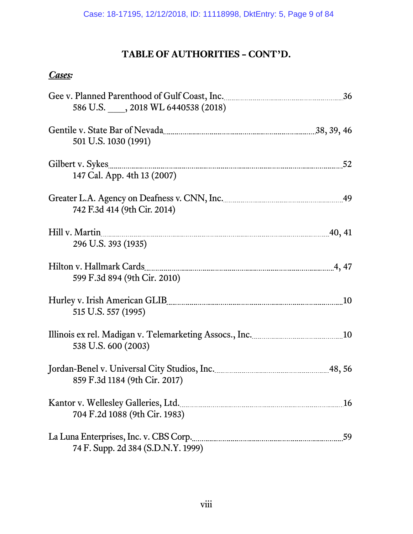| Gee v. Planned Parenthood of Gulf Coast, Inc. [101] Solvey Manuscript 36<br>586 U.S. , 2018 WL 6440538 (2018)                                   |    |
|-------------------------------------------------------------------------------------------------------------------------------------------------|----|
| Gentile v. State Bar of Nevada <u>manual members</u> and all also as 38, 39, 46<br>501 U.S. 1030 (1991)                                         |    |
| Gilbert v. Sykes                                                                                                                                |    |
| 147 Cal. App. 4th 13 (2007)                                                                                                                     |    |
| Greater L.A. Agency on Deafness v. CNN, Inc. [19] [19] Greater L.A. Agency on Deafness v. CNN, Inc.<br>742 F.3d 414 (9th Cir. 2014)             |    |
| Hill v. Martin 10, 41                                                                                                                           |    |
| 296 U.S. 393 (1935)                                                                                                                             |    |
| 599 F.3d 894 (9th Cir. 2010)                                                                                                                    |    |
|                                                                                                                                                 |    |
| 515 U.S. 557 (1995)                                                                                                                             |    |
| Illinois ex rel. Madigan v. Telemarketing Assocs., Inc. <u>manual manusculum</u> 10<br>538 U.S. 600 (2003)                                      |    |
| Jordan-Benel v. Universal City Studios, Inc. [11] Jordan-Benel v. Universal City Studios, Inc. [11] [12] [12]                                   |    |
| 859 F.3d 1184 (9th Cir. 2017)                                                                                                                   |    |
| Kantor v. Wellesley Galleries, Ltd. [1976] Manuschen v. Wellesley Galleries, Ltd. [1976] Manuschen Manuschen v<br>704 F.2d 1088 (9th Cir. 1983) | 16 |
| La Luna Enterprises, Inc. v. CBS Corp.<br>74 F. Supp. 2d 384 (S.D.N.Y. 1999)                                                                    | 59 |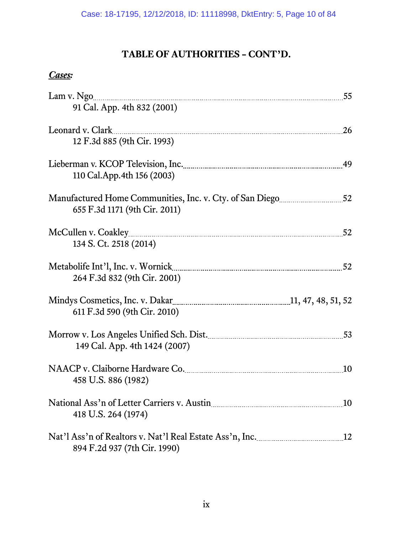| Lam v. Ngo 55                                                                                                                |           |
|------------------------------------------------------------------------------------------------------------------------------|-----------|
| 91 Cal. App. 4th 832 (2001)                                                                                                  |           |
| Leonard v. Clark                                                                                                             | <b>26</b> |
| 12 F.3d 885 (9th Cir. 1993)                                                                                                  |           |
| Lieberman v. KCOP Television, Inc. 1997. Entertainmunically and v. KCOP Television, Inc. 1997.                               | 49        |
| 110 Cal. App. 4th 156 (2003)                                                                                                 |           |
| Manufactured Home Communities, Inc. v. Cty. of San Diego                                                                     |           |
| 655 F.3d 1171 (9th Cir. 2011)                                                                                                |           |
|                                                                                                                              | 52        |
| 134 S. Ct. 2518 (2014)                                                                                                       |           |
|                                                                                                                              | 52        |
| 264 F.3d 832 (9th Cir. 2001)                                                                                                 |           |
|                                                                                                                              |           |
| 611 F.3d 590 (9th Cir. 2010)                                                                                                 |           |
| Morrow v. Los Angeles Unified Sch. Dist.                                                                                     | 53        |
| 149 Cal. App. 4th 1424 (2007)                                                                                                |           |
|                                                                                                                              | 10        |
| 458 U.S. 886 (1982)                                                                                                          |           |
| National Ass'n of Letter Carriers v. Austin <b>Election Access 10</b> 10                                                     |           |
| 418 U.S. 264 (1974)                                                                                                          |           |
| Nat'l Ass'n of Realtors v. Nat'l Real Estate Ass'n, Inc. [101] Nat'l Ass'n of Realtors v. Nat'l Real Estate Ass'n, Inc. [12] |           |
| 894 F.2d 937 (7th Cir. 1990)                                                                                                 |           |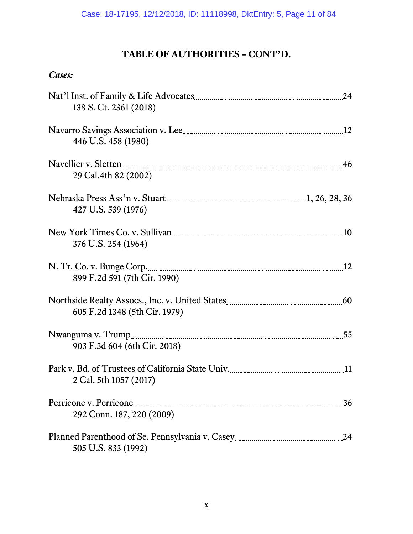| 138 S. Ct. 2361 (2018)                                                                                                                                                                                                                                  | 24 |
|---------------------------------------------------------------------------------------------------------------------------------------------------------------------------------------------------------------------------------------------------------|----|
| 446 U.S. 458 (1980)                                                                                                                                                                                                                                     | 12 |
| Navellier v. Sletten [11] Navellier v. Sletten [11] About 2012 146 [12] About 2013 146 [12] About 2014 15 [12] About 2014 15 [12] About 2014 16 [12] About 2014 17 [12] About 2014 17 [12] About 2014 17 [12] About 2014 17 [1<br>29 Cal. 4th 82 (2002) |    |
| 427 U.S. 539 (1976)                                                                                                                                                                                                                                     |    |
| New York Times Co. v. Sullivan <b>Example 20</b> 10<br>376 U.S. 254 (1964)                                                                                                                                                                              |    |
| 899 F.2d 591 (7th Cir. 1990)                                                                                                                                                                                                                            |    |
| 605 F.2d 1348 (5th Cir. 1979)                                                                                                                                                                                                                           |    |
| 903 F.3d 604 (6th Cir. 2018)                                                                                                                                                                                                                            | 55 |
| 2 Cal. 5th 1057 (2017)                                                                                                                                                                                                                                  | 11 |
| 292 Conn. 187, 220 (2009)                                                                                                                                                                                                                               | 36 |
| 505 U.S. 833 (1992)                                                                                                                                                                                                                                     | 24 |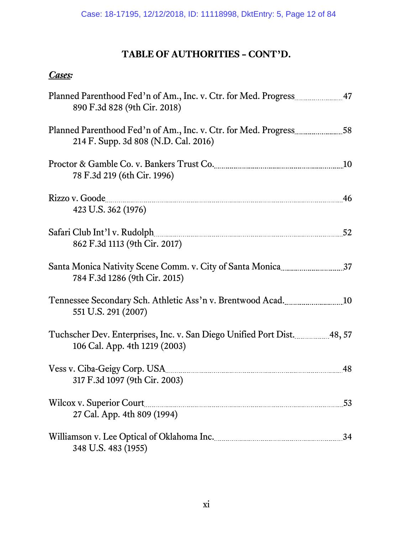| Planned Parenthood Fed'n of Am., Inc. v. Ctr. for Med. Progress 27 47<br>890 F.3d 828 (9th Cir. 2018)                         |    |
|-------------------------------------------------------------------------------------------------------------------------------|----|
| Planned Parenthood Fed'n of Am., Inc. v. Ctr. for Med. Progress 28<br>214 F. Supp. 3d 808 (N.D. Cal. 2016)                    |    |
| Proctor & Gamble Co. v. Bankers Trust Co. 2008. [10] Proctor & Gamble Co. v. Bankers Trust Co.<br>78 F.3d 219 (6th Cir. 1996) |    |
| Rizzo v. Goode<br>423 U.S. 362 (1976)                                                                                         |    |
| 862 F.3d 1113 (9th Cir. 2017)                                                                                                 |    |
| 784 F.3d 1286 (9th Cir. 2015)                                                                                                 |    |
| 551 U.S. 291 (2007)                                                                                                           |    |
| Tuchscher Dev. Enterprises, Inc. v. San Diego Unified Port Dist. 48, 57<br>106 Cal. App. 4th 1219 (2003)                      |    |
| 317 F.3d 1097 (9th Cir. 2003)                                                                                                 | 48 |
| <b>Wilcox v. Superior Court</b><br>27 Cal. App. 4th 809 (1994)                                                                | 53 |
| 348 U.S. 483 (1955)                                                                                                           | 34 |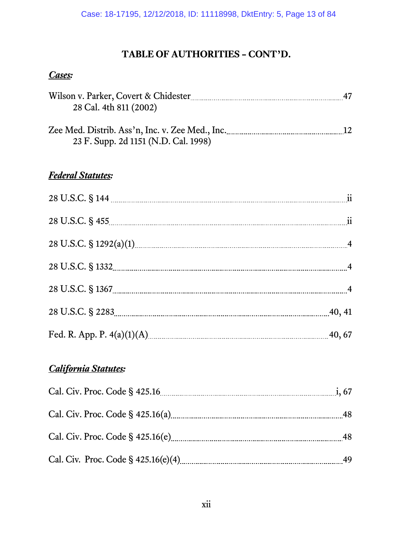## *Cases:*

|                                                 | 47              |
|-------------------------------------------------|-----------------|
| 28 Cal. 4th 811 (2002)                          |                 |
|                                                 |                 |
| Zee Med. Distrib. Ass'n, Inc. v. Zee Med., Inc. | 12 <sub>1</sub> |
| 23 F. Supp. 2d 1151 (N.D. Cal. 1998)            |                 |

## *Federal Statutes:*

| 40, 41 |
|--------|
| 40, 67 |

## *California Statutes:*

| 48   |
|------|
| - 48 |
| 49   |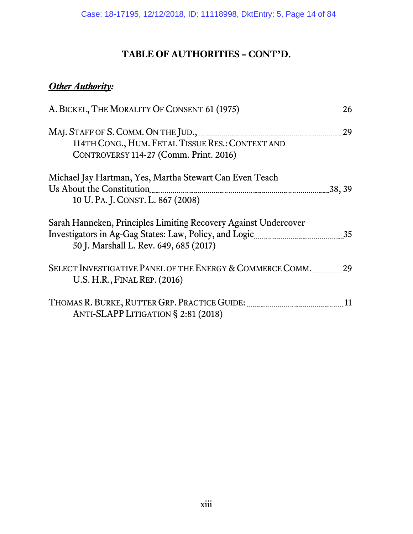# *Other Authority:*

| A. BICKEL, THE MORALITY OF CONSENT 61 (1975) <b>Manual</b> Muslim Constant Constant Constant Constant Constant Constant | 26     |
|-------------------------------------------------------------------------------------------------------------------------|--------|
|                                                                                                                         | 29     |
| 114TH CONG., HUM. FETAL TISSUE RES.: CONTEXT AND                                                                        |        |
| CONTROVERSY 114-27 (Comm. Print. 2016)                                                                                  |        |
| Michael Jay Hartman, Yes, Martha Stewart Can Even Teach                                                                 |        |
| Us About the Constitution                                                                                               | 38, 39 |
| 10 U. PA. J. CONST. L. 867 (2008)                                                                                       |        |
| Sarah Hanneken, Principles Limiting Recovery Against Undercover                                                         |        |
|                                                                                                                         | 35     |
| 50 J. Marshall L. Rev. 649, 685 (2017)                                                                                  |        |
| SELECT INVESTIGATIVE PANEL OF THE ENERGY & COMMERCE COMM.<br>U.S. H.R., FINAL REP. (2016)                               | 29     |
| ANTI-SLAPP LITIGATION § 2:81 (2018)                                                                                     | 11     |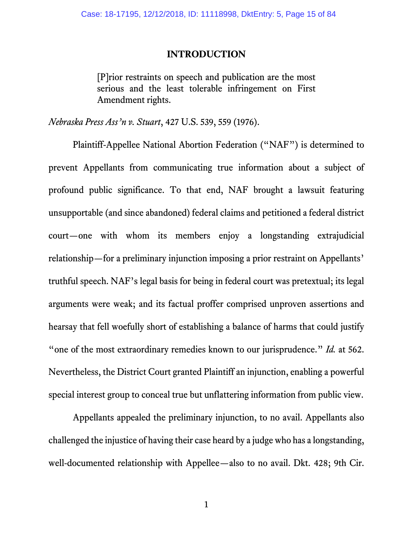#### **INTRODUCTION**

<span id="page-14-0"></span>[P]rior restraints on speech and publication are the most serious and the least tolerable infringement on First Amendment rights.

*Nebraska Press Ass'n v. Stuart*, 427 U.S. 539, 559 (1976).

Plaintiff-Appellee National Abortion Federation ("NAF") is determined to prevent Appellants from communicating true information about a subject of profound public significance. To that end, NAF brought a lawsuit featuring unsupportable (and since abandoned) federal claims and petitioned a federal district court—one with whom its members enjoy a longstanding extrajudicial relationship—for a preliminary injunction imposing a prior restraint on Appellants' truthful speech. NAF's legal basis for being in federal court was pretextual; its legal arguments were weak; and its factual proffer comprised unproven assertions and hearsay that fell woefully short of establishing a balance of harms that could justify "one of the most extraordinary remedies known to our jurisprudence." *Id.* at 562. Nevertheless, the District Court granted Plaintiff an injunction, enabling a powerful special interest group to conceal true but unflattering information from public view.

Appellants appealed the preliminary injunction, to no avail. Appellants also challenged the injustice of having their case heard by a judge who has a longstanding, well-documented relationship with Appellee—also to no avail. Dkt. 428; 9th Cir.

1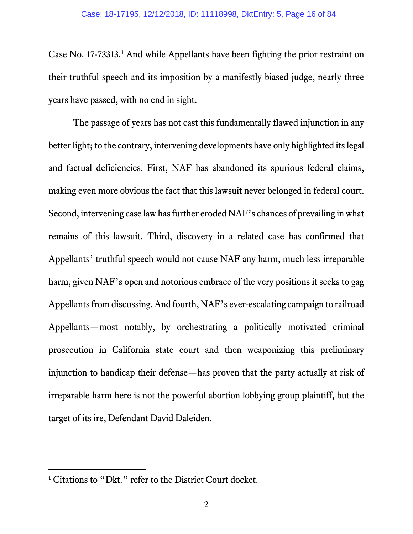Case No. 17-73313. [1](#page-15-0) And while Appellants have been fighting the prior restraint on their truthful speech and its imposition by a manifestly biased judge, nearly three years have passed, with no end in sight.

The passage of years has not cast this fundamentally flawed injunction in any better light; to the contrary, intervening developments have only highlighted its legal and factual deficiencies. First, NAF has abandoned its spurious federal claims, making even more obvious the fact that this lawsuit never belonged in federal court. Second, intervening case law has further eroded NAF's chances of prevailing in what remains of this lawsuit. Third, discovery in a related case has confirmed that Appellants' truthful speech would not cause NAF any harm, much less irreparable harm, given NAF's open and notorious embrace of the very positions it seeks to gag Appellants from discussing. And fourth, NAF's ever-escalating campaign to railroad Appellants—most notably, by orchestrating a politically motivated criminal prosecution in California state court and then weaponizing this preliminary injunction to handicap their defense—has proven that the party actually at risk of irreparable harm here is not the powerful abortion lobbying group plaintiff, but the target of its ire, Defendant David Daleiden.

 $\overline{a}$ 

<span id="page-15-0"></span><sup>&</sup>lt;sup>1</sup> Citations to "Dkt." refer to the District Court docket.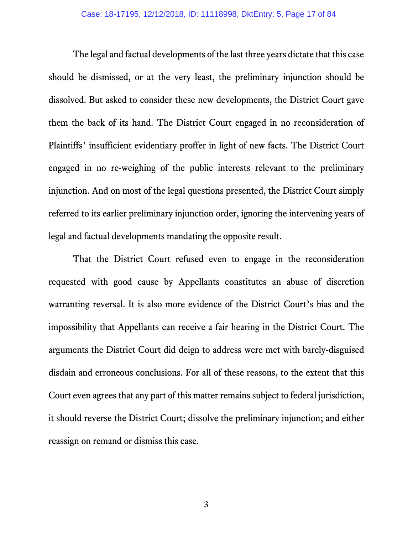The legal and factual developments of the last three years dictate that this case should be dismissed, or at the very least, the preliminary injunction should be dissolved. But asked to consider these new developments, the District Court gave them the back of its hand. The District Court engaged in no reconsideration of Plaintiffs' insufficient evidentiary proffer in light of new facts. The District Court engaged in no re-weighing of the public interests relevant to the preliminary injunction. And on most of the legal questions presented, the District Court simply referred to its earlier preliminary injunction order, ignoring the intervening years of legal and factual developments mandating the opposite result.

That the District Court refused even to engage in the reconsideration requested with good cause by Appellants constitutes an abuse of discretion warranting reversal. It is also more evidence of the District Court's bias and the impossibility that Appellants can receive a fair hearing in the District Court. The arguments the District Court did deign to address were met with barely-disguised disdain and erroneous conclusions. For all of these reasons, to the extent that this Court even agrees that any part of this matter remains subject to federal jurisdiction, it should reverse the District Court; dissolve the preliminary injunction; and either reassign on remand or dismiss this case.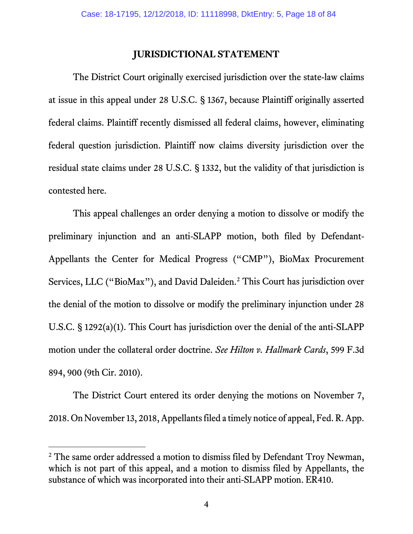## **JURISDICTIONAL STATEMENT**

<span id="page-17-0"></span>The District Court originally exercised jurisdiction over the state-law claims at issue in this appeal under 28 U.S.C. § 1367, because Plaintiff originally asserted federal claims. Plaintiff recently dismissed all federal claims, however, eliminating federal question jurisdiction. Plaintiff now claims diversity jurisdiction over the residual state claims under 28 U.S.C. § 1332, but the validity of that jurisdiction is contested here.

This appeal challenges an order denying a motion to dissolve or modify the preliminary injunction and an anti-SLAPP motion, both filed by Defendant-Appellants the Center for Medical Progress ("CMP"), BioMax Procurement Services, LLC ("BioMax"), and David Daleiden.<sup>[2](#page-17-1)</sup> This Court has jurisdiction over the denial of the motion to dissolve or modify the preliminary injunction under 28 U.S.C. § 1292(a)(1). This Court has jurisdiction over the denial of the anti-SLAPP motion under the collateral order doctrine. *See Hilton v. Hallmark Cards*, 599 F.3d 894, 900 (9th Cir. 2010).

The District Court entered its order denying the motions on November 7, 2018. On November 13, 2018, Appellants filed a timely notice of appeal, Fed. R. App.

 $\overline{a}$ 

<span id="page-17-1"></span><sup>&</sup>lt;sup>2</sup> The same order addressed a motion to dismiss filed by Defendant Troy Newman, which is not part of this appeal, and a motion to dismiss filed by Appellants, the substance of which was incorporated into their anti-SLAPP motion. ER410.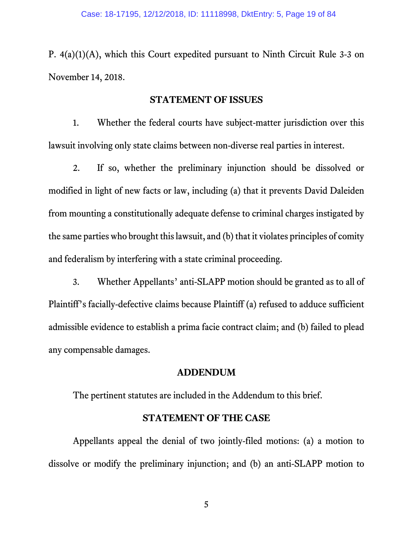P. 4(a)(1)(A), which this Court expedited pursuant to Ninth Circuit Rule 3-3 on November 14, 2018.

#### **STATEMENT OF ISSUES**

<span id="page-18-0"></span>1. Whether the federal courts have subject-matter jurisdiction over this lawsuit involving only state claims between non-diverse real parties in interest.

2. If so, whether the preliminary injunction should be dissolved or modified in light of new facts or law, including (a) that it prevents David Daleiden from mounting a constitutionally adequate defense to criminal charges instigated by the same parties who brought this lawsuit, and (b) that it violates principles of comity and federalism by interfering with a state criminal proceeding.

3. Whether Appellants' anti-SLAPP motion should be granted as to all of Plaintiff's facially-defective claims because Plaintiff (a) refused to adduce sufficient admissible evidence to establish a prima facie contract claim; and (b) failed to plead any compensable damages.

#### **ADDENDUM**

<span id="page-18-1"></span>The pertinent statutes are included in the Addendum to this brief.

#### **STATEMENT OF THE CASE**

<span id="page-18-2"></span>Appellants appeal the denial of two jointly-filed motions: (a) a motion to dissolve or modify the preliminary injunction; and (b) an anti-SLAPP motion to

5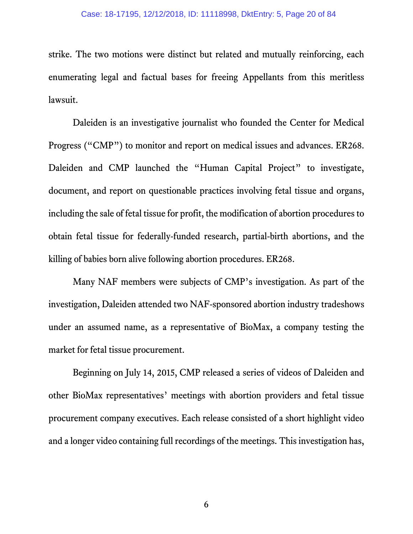strike. The two motions were distinct but related and mutually reinforcing, each enumerating legal and factual bases for freeing Appellants from this meritless lawsuit.

Daleiden is an investigative journalist who founded the Center for Medical Progress ("CMP") to monitor and report on medical issues and advances. ER268. Daleiden and CMP launched the "Human Capital Project" to investigate, document, and report on questionable practices involving fetal tissue and organs, including the sale of fetal tissue for profit, the modification of abortion procedures to obtain fetal tissue for federally-funded research, partial-birth abortions, and the killing of babies born alive following abortion procedures. ER268.

Many NAF members were subjects of CMP's investigation. As part of the investigation, Daleiden attended two NAF-sponsored abortion industry tradeshows under an assumed name, as a representative of BioMax, a company testing the market for fetal tissue procurement.

Beginning on July 14, 2015, CMP released a series of videos of Daleiden and other BioMax representatives' meetings with abortion providers and fetal tissue procurement company executives. Each release consisted of a short highlight video and a longer video containing full recordings of the meetings. This investigation has,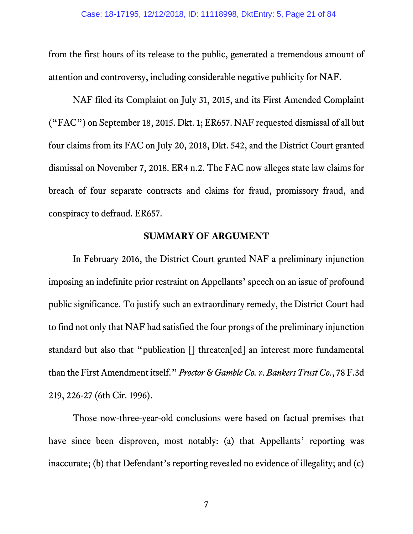from the first hours of its release to the public, generated a tremendous amount of attention and controversy, including considerable negative publicity for NAF.

NAF filed its Complaint on July 31, 2015, and its First Amended Complaint ("FAC") on September 18, 2015. Dkt. 1; ER657. NAF requested dismissal of all but four claims from its FAC on July 20, 2018, Dkt. 542, and the District Court granted dismissal on November 7, 2018. ER4 n.2. The FAC now alleges state law claims for breach of four separate contracts and claims for fraud, promissory fraud, and conspiracy to defraud. ER657.

#### **SUMMARY OF ARGUMENT**

<span id="page-20-0"></span>In February 2016, the District Court granted NAF a preliminary injunction imposing an indefinite prior restraint on Appellants' speech on an issue of profound public significance. To justify such an extraordinary remedy, the District Court had to find not only that NAF had satisfied the four prongs of the preliminary injunction standard but also that "publication [] threaten[ed] an interest more fundamental than the First Amendment itself." *Proctor & Gamble Co. v. Bankers Trust Co.*, 78 F.3d 219, 226-27 (6th Cir. 1996).

Those now-three-year-old conclusions were based on factual premises that have since been disproven, most notably: (a) that Appellants' reporting was inaccurate; (b) that Defendant's reporting revealed no evidence of illegality; and (c)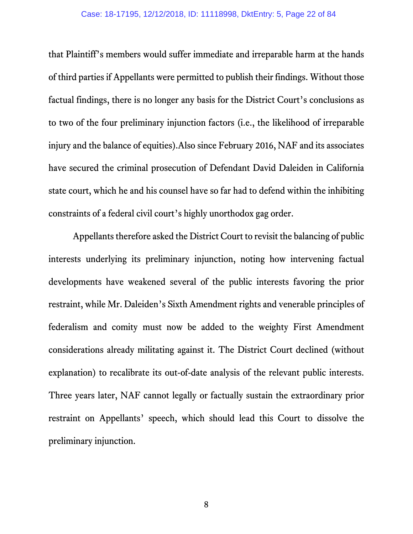that Plaintiff's members would suffer immediate and irreparable harm at the hands of third parties if Appellants were permitted to publish their findings. Without those factual findings, there is no longer any basis for the District Court's conclusions as to two of the four preliminary injunction factors (i.e., the likelihood of irreparable injury and the balance of equities).Also since February 2016, NAF and its associates have secured the criminal prosecution of Defendant David Daleiden in California state court, which he and his counsel have so far had to defend within the inhibiting constraints of a federal civil court's highly unorthodox gag order.

Appellants therefore asked the District Court to revisit the balancing of public interests underlying its preliminary injunction, noting how intervening factual developments have weakened several of the public interests favoring the prior restraint, while Mr. Daleiden's Sixth Amendment rights and venerable principles of federalism and comity must now be added to the weighty First Amendment considerations already militating against it. The District Court declined (without explanation) to recalibrate its out-of-date analysis of the relevant public interests. Three years later, NAF cannot legally or factually sustain the extraordinary prior restraint on Appellants' speech, which should lead this Court to dissolve the preliminary injunction.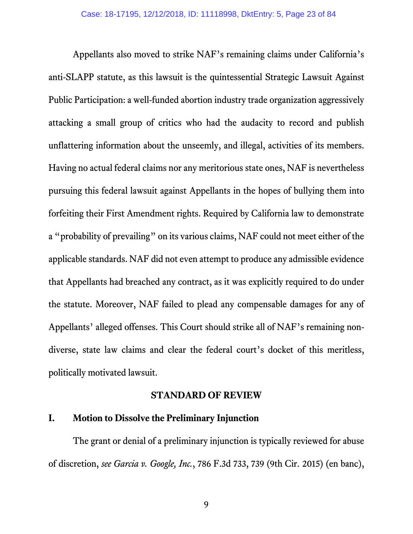Appellants also moved to strike NAF's remaining claims under California's anti-SLAPP statute, as this lawsuit is the quintessential Strategic Lawsuit Against Public Participation: a well-funded abortion industry trade organization aggressively attacking a small group of critics who had the audacity to record and publish unflattering information about the unseemly, and illegal, activities of its members. Having no actual federal claims nor any meritorious state ones, NAF is nevertheless pursuing this federal lawsuit against Appellants in the hopes of bullying them into forfeiting their First Amendment rights. Required by California law to demonstrate a "probability of prevailing" on its various claims, NAF could not meet either of the applicable standards. NAF did not even attempt to produce any admissible evidence that Appellants had breached any contract, as it was explicitly required to do under the statute. Moreover, NAF failed to plead any compensable damages for any of Appellants' alleged offenses. This Court should strike all of NAF's remaining nondiverse, state law claims and clear the federal court's docket of this meritless, politically motivated lawsuit.

#### **STANDARD OF REVIEW**

#### <span id="page-22-1"></span><span id="page-22-0"></span>**I. Motion to Dissolve the Preliminary Injunction**

The grant or denial of a preliminary injunction is typically reviewed for abuse of discretion, *see Garcia v. Google, Inc.*, 786 F.3d 733, 739 (9th Cir. 2015) (en banc),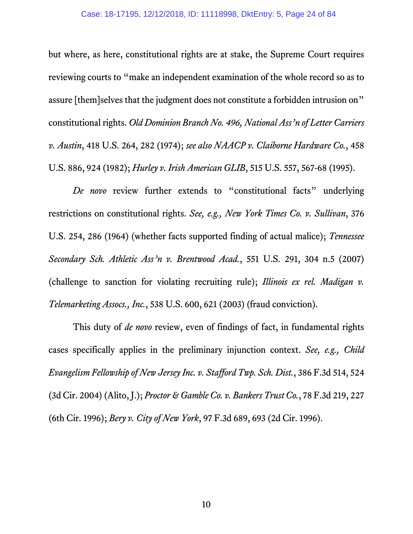but where, as here, constitutional rights are at stake, the Supreme Court requires reviewing courts to "make an independent examination of the whole record so as to assure [them]selves that the judgment does not constitute a forbidden intrusion on" constitutional rights. *Old Dominion Branch No. 496, National Ass'n of Letter Carriers v. Austin*, 418 U.S. 264, 282 (1974); *see also NAACP v. Claiborne Hardware Co.*, 458 U.S. 886, 924 (1982); *Hurley v. Irish American GLIB*, 515 U.S. 557, 567-68 (1995).

*De novo* review further extends to "constitutional facts" underlying restrictions on constitutional rights. *See, e.g., New York Times Co. v. Sullivan*, 376 U.S. 254, 286 (1964) (whether facts supported finding of actual malice); *Tennessee Secondary Sch. Athletic Ass'n v. Brentwood Acad.*, 551 U.S. 291, 304 n.5 (2007) (challenge to sanction for violating recruiting rule); *Illinois ex rel. Madigan v. Telemarketing Assocs., Inc.*, 538 U.S. 600, 621 (2003) (fraud conviction).

This duty of *de novo* review, even of findings of fact, in fundamental rights cases specifically applies in the preliminary injunction context. *See, e.g., Child Evangelism Fellowship of New Jersey Inc. v. Stafford Twp. Sch. Dist.*, 386 F.3d 514, 524 (3d Cir. 2004) (Alito, J.); *Proctor & Gamble Co. v. Bankers Trust Co.*, 78 F.3d 219, 227 (6th Cir. 1996); *Bery v. City of New York*, 97 F.3d 689, 693 (2d Cir. 1996).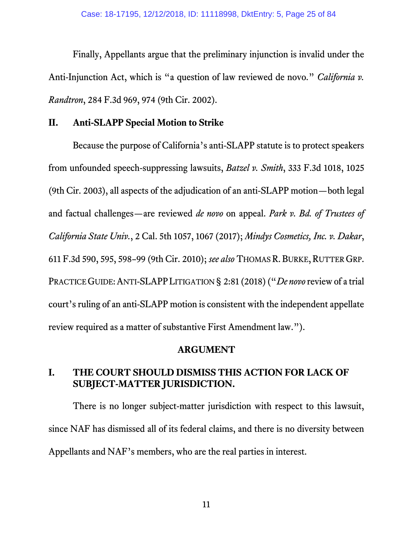Finally, Appellants argue that the preliminary injunction is invalid under the Anti-Injunction Act, which is "a question of law reviewed de novo." *California v. Randtron*, 284 F.3d 969, 974 (9th Cir. 2002).

## <span id="page-24-0"></span>**II. Anti-SLAPP Special Motion to Strike**

Because the purpose of California's anti-SLAPP statute is to protect speakers from unfounded speech-suppressing lawsuits, *Batzel v. Smith*, 333 F.3d 1018, 1025 (9th Cir. 2003), all aspects of the adjudication of an anti-SLAPP motion—both legal and factual challenges—are reviewed *de novo* on appeal. *Park v. Bd. of Trustees of California State Univ.*, 2 Cal. 5th 1057, 1067 (2017); *Mindys Cosmetics, Inc. v. Dakar*, 611 F.3d 590, 595, 598–99 (9th Cir. 2010); *see also* THOMAS R. BURKE,RUTTER GRP. PRACTICE GUIDE:ANTI-SLAPPLITIGATION § 2:81 (2018) ("*De novo*review of a trial court's ruling of an anti-SLAPP motion is consistent with the independent appellate review required as a matter of substantive First Amendment law.").

## **ARGUMENT**

## <span id="page-24-2"></span><span id="page-24-1"></span>**I. THE COURT SHOULD DISMISS THIS ACTION FOR LACK OF SUBJECT-MATTER JURISDICTION.**

There is no longer subject-matter jurisdiction with respect to this lawsuit, since NAF has dismissed all of its federal claims, and there is no diversity between Appellants and NAF's members, who are the real parties in interest.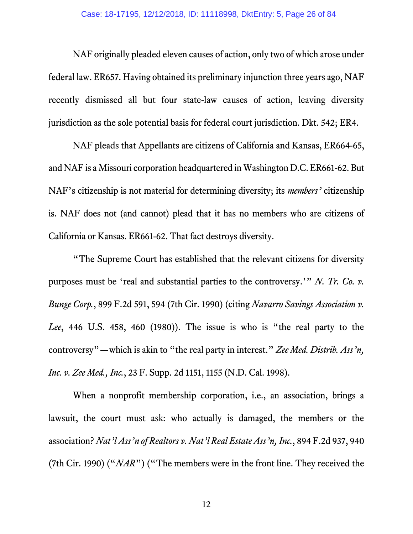NAF originally pleaded eleven causes of action, only two of which arose under federal law. ER657. Having obtained its preliminary injunction three years ago, NAF recently dismissed all but four state-law causes of action, leaving diversity jurisdiction as the sole potential basis for federal court jurisdiction. Dkt. 542; ER4.

NAF pleads that Appellants are citizens of California and Kansas, ER664-65, and NAF is a Missouri corporation headquartered in Washington D.C. ER661-62. But NAF's citizenship is not material for determining diversity; its *members'* citizenship is. NAF does not (and cannot) plead that it has no members who are citizens of California or Kansas. ER661-62. That fact destroys diversity.

"The Supreme Court has established that the relevant citizens for diversity purposes must be 'real and substantial parties to the controversy.'" *N. Tr. Co. v. Bunge Corp.*, 899 F.2d 591, 594 (7th Cir. 1990) (citing *Navarro Savings Association v. Lee*, 446 U.S. 458, 460 (1980)). The issue is who is "the real party to the controversy"—which is akin to "the real party in interest." *Zee Med. Distrib. Ass'n, Inc. v. Zee Med., Inc.*, 23 F. Supp. 2d 1151, 1155 (N.D. Cal. 1998).

When a nonprofit membership corporation, i.e., an association, brings a lawsuit, the court must ask: who actually is damaged, the members or the association? *Nat'l Ass'n of Realtors v. Nat'l Real Estate Ass'n, Inc.*, 894 F.2d 937, 940 (7th Cir. 1990) ("*NAR*") ("The members were in the front line. They received the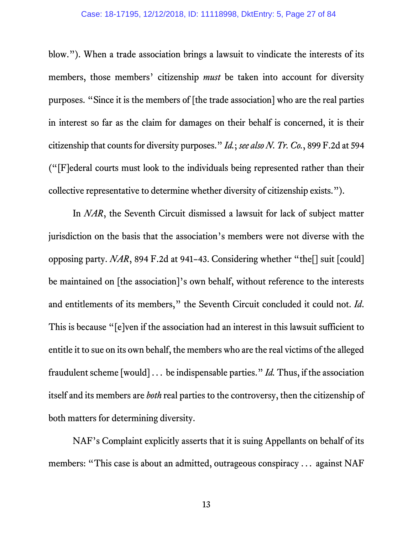blow."). When a trade association brings a lawsuit to vindicate the interests of its members, those members' citizenship *must* be taken into account for diversity purposes. "Since it is the members of [the trade association] who are the real parties in interest so far as the claim for damages on their behalf is concerned, it is their citizenship that counts for diversity purposes." *Id.*; *see also N. Tr. Co.*, 899 F.2d at 594 ("[F]ederal courts must look to the individuals being represented rather than their collective representative to determine whether diversity of citizenship exists.").

In *NAR*, the Seventh Circuit dismissed a lawsuit for lack of subject matter jurisdiction on the basis that the association's members were not diverse with the opposing party. *NAR*, 894 F.2d at 941–43. Considering whether "the[] suit [could] be maintained on [the association]'s own behalf, without reference to the interests and entitlements of its members," the Seventh Circuit concluded it could not. *Id*. This is because "[e]ven if the association had an interest in this lawsuit sufficient to entitle it to sue on its own behalf, the members who are the real victims of the alleged fraudulent scheme [would] ... be indispensable parties." *Id.* Thus, if the association itself and its members are *both* real parties to the controversy, then the citizenship of both matters for determining diversity.

NAF's Complaint explicitly asserts that it is suing Appellants on behalf of its members: "This case is about an admitted, outrageous conspiracy ... against NAF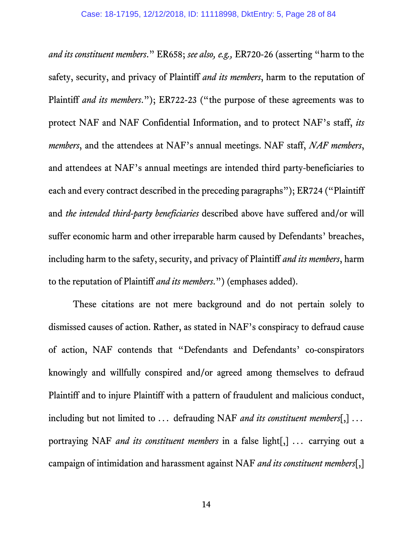*and its constituent members*." ER658; *see also, e.g.,* ER720-26 (asserting "harm to the safety, security, and privacy of Plaintiff *and its members*, harm to the reputation of Plaintiff *and its members*."); ER722-23 ("the purpose of these agreements was to protect NAF and NAF Confidential Information, and to protect NAF's staff, *its members*, and the attendees at NAF's annual meetings. NAF staff, *NAF members*, and attendees at NAF's annual meetings are intended third party-beneficiaries to each and every contract described in the preceding paragraphs"); ER724 ("Plaintiff and *the intended third-party beneficiaries* described above have suffered and/or will suffer economic harm and other irreparable harm caused by Defendants' breaches, including harm to the safety, security, and privacy of Plaintiff *and its members*, harm to the reputation of Plaintiff *and its members*.") (emphases added).

These citations are not mere background and do not pertain solely to dismissed causes of action. Rather, as stated in NAF's conspiracy to defraud cause of action, NAF contends that "Defendants and Defendants' co-conspirators knowingly and willfully conspired and/or agreed among themselves to defraud Plaintiff and to injure Plaintiff with a pattern of fraudulent and malicious conduct, including but not limited to ... defrauding NAF *and its constituent members*[,] ... portraying NAF *and its constituent members* in a false light[,] ... carrying out a campaign of intimidation and harassment against NAF *and its constituent members*[,]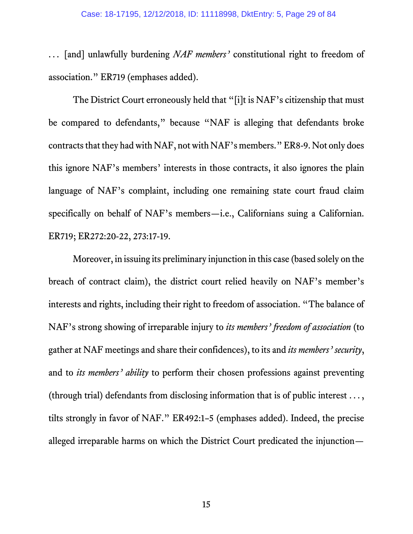... [and] unlawfully burdening *NAF members'* constitutional right to freedom of association." ER719 (emphases added).

The District Court erroneously held that "[i]t is NAF's citizenship that must be compared to defendants," because "NAF is alleging that defendants broke contracts that they had with NAF, not with NAF's members." ER8-9. Not only does this ignore NAF's members' interests in those contracts, it also ignores the plain language of NAF's complaint, including one remaining state court fraud claim specifically on behalf of NAF's members—i.e., Californians suing a Californian. ER719; ER272:20-22, 273:17-19.

Moreover, in issuing its preliminary injunction in this case (based solely on the breach of contract claim), the district court relied heavily on NAF's member's interests and rights, including their right to freedom of association. "The balance of NAF's strong showing of irreparable injury to *its members' freedom of association* (to gather at NAF meetings and share their confidences), to its and *its members' security*, and to *its members' ability* to perform their chosen professions against preventing (through trial) defendants from disclosing information that is of public interest ... , tilts strongly in favor of NAF." ER492:1–5 (emphases added). Indeed, the precise alleged irreparable harms on which the District Court predicated the injunction—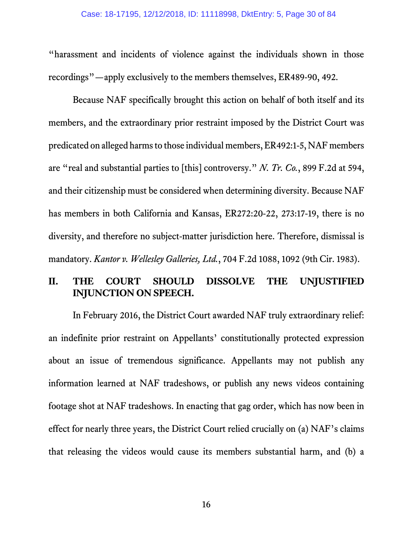"harassment and incidents of violence against the individuals shown in those recordings"—apply exclusively to the members themselves, ER489-90, 492.

Because NAF specifically brought this action on behalf of both itself and its members, and the extraordinary prior restraint imposed by the District Court was predicated on alleged harms to those individual members, ER492:1-5, NAF members are "real and substantial parties to [this] controversy." *N. Tr. Co.*, 899 F.2d at 594, and their citizenship must be considered when determining diversity. Because NAF has members in both California and Kansas, ER272:20-22, 273:17-19, there is no diversity, and therefore no subject-matter jurisdiction here. Therefore, dismissal is mandatory. *Kantor v. Wellesley Galleries, Ltd.*, 704 F.2d 1088, 1092 (9th Cir. 1983).

## <span id="page-29-0"></span>**II. THE COURT SHOULD DISSOLVE THE UNJUSTIFIED INJUNCTION ON SPEECH.**

In February 2016, the District Court awarded NAF truly extraordinary relief: an indefinite prior restraint on Appellants' constitutionally protected expression about an issue of tremendous significance. Appellants may not publish any information learned at NAF tradeshows, or publish any news videos containing footage shot at NAF tradeshows. In enacting that gag order, which has now been in effect for nearly three years, the District Court relied crucially on (a) NAF's claims that releasing the videos would cause its members substantial harm, and (b) a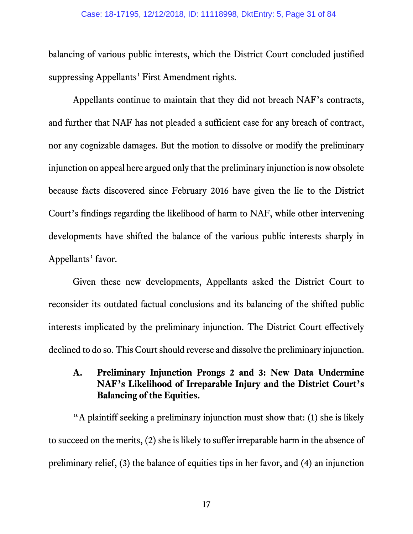balancing of various public interests, which the District Court concluded justified suppressing Appellants' First Amendment rights.

Appellants continue to maintain that they did not breach NAF's contracts, and further that NAF has not pleaded a sufficient case for any breach of contract, nor any cognizable damages. But the motion to dissolve or modify the preliminary injunction on appeal here argued only that the preliminary injunction is now obsolete because facts discovered since February 2016 have given the lie to the District Court's findings regarding the likelihood of harm to NAF, while other intervening developments have shifted the balance of the various public interests sharply in Appellants' favor.

Given these new developments, Appellants asked the District Court to reconsider its outdated factual conclusions and its balancing of the shifted public interests implicated by the preliminary injunction. The District Court effectively declined to do so. This Court should reverse and dissolve the preliminary injunction.

## <span id="page-30-0"></span>**A. Preliminary Injunction Prongs 2 and 3: New Data Undermine NAF's Likelihood of Irreparable Injury and the District Court's Balancing of the Equities.**

"A plaintiff seeking a preliminary injunction must show that: (1) she is likely to succeed on the merits, (2) she is likely to suffer irreparable harm in the absence of preliminary relief, (3) the balance of equities tips in her favor, and (4) an injunction

17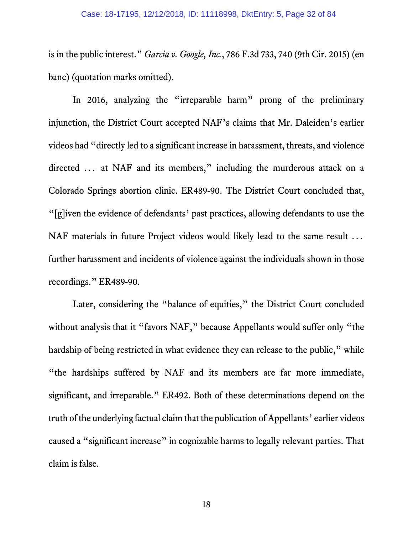is in the public interest." *Garcia v. Google, Inc.*, 786 F.3d 733, 740 (9th Cir. 2015) (en banc) (quotation marks omitted).

In 2016, analyzing the "irreparable harm" prong of the preliminary injunction, the District Court accepted NAF's claims that Mr. Daleiden's earlier videos had "directly led to a significant increase in harassment, threats, and violence directed ... at NAF and its members," including the murderous attack on a Colorado Springs abortion clinic. ER489-90. The District Court concluded that, "[g]iven the evidence of defendants' past practices, allowing defendants to use the NAF materials in future Project videos would likely lead to the same result ... further harassment and incidents of violence against the individuals shown in those recordings." ER489-90.

Later, considering the "balance of equities," the District Court concluded without analysis that it "favors NAF," because Appellants would suffer only "the hardship of being restricted in what evidence they can release to the public," while "the hardships suffered by NAF and its members are far more immediate, significant, and irreparable." ER492. Both of these determinations depend on the truth of the underlying factual claim that the publication of Appellants' earlier videos caused a "significant increase" in cognizable harms to legally relevant parties. That claim is false.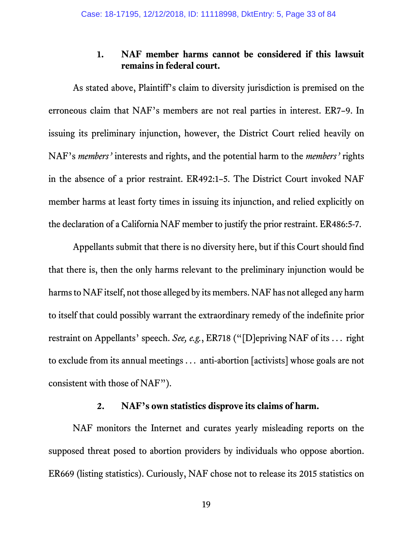#### **1. NAF member harms cannot be considered if this lawsuit remains in federal court.**

<span id="page-32-0"></span>As stated above, Plaintiff's claim to diversity jurisdiction is premised on the erroneous claim that NAF's members are not real parties in interest. ER7–9. In issuing its preliminary injunction, however, the District Court relied heavily on NAF's *members'* interests and rights, and the potential harm to the *members'* rights in the absence of a prior restraint. ER492:1–5. The District Court invoked NAF member harms at least forty times in issuing its injunction, and relied explicitly on the declaration of a California NAF member to justify the prior restraint. ER486:5-7.

Appellants submit that there is no diversity here, but if this Court should find that there is, then the only harms relevant to the preliminary injunction would be harmsto NAF itself, not those alleged by its members. NAF has not alleged any harm to itself that could possibly warrant the extraordinary remedy of the indefinite prior restraint on Appellants' speech. *See, e.g.*, ER718 ("[D]epriving NAF of its ... right to exclude from its annual meetings ... anti-abortion [activists] whose goals are not consistent with those of NAF").

## **2. NAF's own statistics disprove its claims of harm.**

<span id="page-32-1"></span>NAF monitors the Internet and curates yearly misleading reports on the supposed threat posed to abortion providers by individuals who oppose abortion. ER669 (listing statistics). Curiously, NAF chose not to release its 2015 statistics on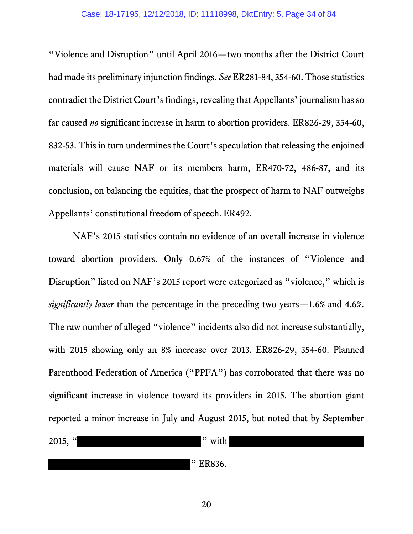"Violence and Disruption" until April 2016—two months after the District Court had made its preliminary injunction findings. *See* ER281-84, 354-60. Those statistics contradict the District Court's findings, revealing that Appellants' journalism has so far caused *no* significant increase in harm to abortion providers. ER826-29, 354-60, 832-53. This in turn undermines the Court's speculation that releasing the enjoined materials will cause NAF or its members harm, ER470-72, 486-87, and its conclusion, on balancing the equities, that the prospect of harm to NAF outweighs Appellants' constitutional freedom of speech. ER492.

NAF's 2015 statistics contain no evidence of an overall increase in violence toward abortion providers. Only 0.67% of the instances of "Violence and Disruption" listed on NAF's 2015 report were categorized as "violence," which is *significantly lower* than the percentage in the preceding two years—1.6% and 4.6%. The raw number of alleged "violence" incidents also did not increase substantially, with 2015 showing only an 8% increase over 2013. ER826-29, 354-60. Planned Parenthood Federation of America ("PPFA") has corroborated that there was no significant increase in violence toward its providers in 2015. The abortion giant reported a minor increase in July and August 2015, but noted that by September

2015,  $"$  with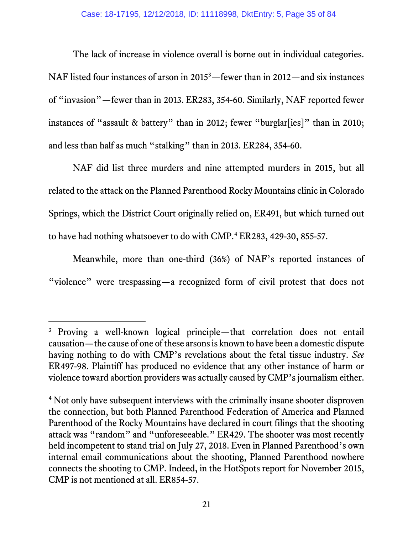The lack of increase in violence overall is borne out in individual categories. NAF listed four instances of arson in 2015<sup>[3](#page-34-0)</sup>—fewer than in 2012—and six instances of "invasion"—fewer than in 2013. ER283, 354-60. Similarly, NAF reported fewer instances of "assault & battery" than in 2012; fewer "burglar[ies]" than in 2010; and less than half as much "stalking" than in 2013. ER284, 354-60.

NAF did list three murders and nine attempted murders in 2015, but all related to the attack on the Planned Parenthood Rocky Mountains clinic in Colorado Springs, which the District Court originally relied on, ER491, but which turned out to have had nothing whatsoever to do with CMP.<sup>[4](#page-34-1)</sup> ER283, 429-30, 855-57.

Meanwhile, more than one-third (36%) of NAF's reported instances of "violence" were trespassing—a recognized form of civil protest that does not

 $\overline{a}$ 

<span id="page-34-0"></span><sup>3</sup> Proving a well-known logical principle—that correlation does not entail causation—the cause of one of these arsons is known to have been a domestic dispute having nothing to do with CMP's revelations about the fetal tissue industry. *See* ER497-98. Plaintiff has produced no evidence that any other instance of harm or violence toward abortion providers was actually caused by CMP's journalism either.

<span id="page-34-1"></span><sup>&</sup>lt;sup>4</sup> Not only have subsequent interviews with the criminally insane shooter disproven the connection, but both Planned Parenthood Federation of America and Planned Parenthood of the Rocky Mountains have declared in court filings that the shooting attack was "random" and "unforeseeable." ER429. The shooter was most recently held incompetent to stand trial on July 27, 2018. Even in Planned Parenthood's own internal email communications about the shooting, Planned Parenthood nowhere connects the shooting to CMP. Indeed, in the HotSpots report for November 2015, CMP is not mentioned at all. ER854-57.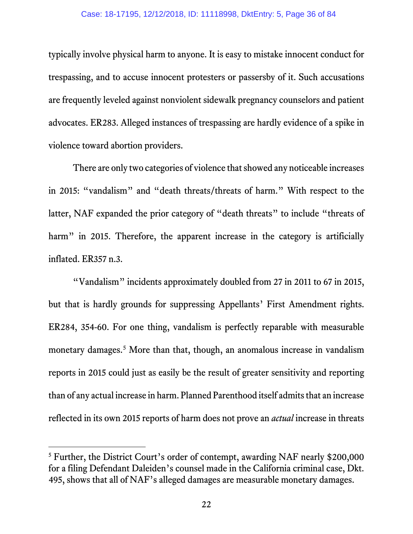typically involve physical harm to anyone. It is easy to mistake innocent conduct for trespassing, and to accuse innocent protesters or passersby of it. Such accusations are frequently leveled against nonviolent sidewalk pregnancy counselors and patient advocates. ER283. Alleged instances of trespassing are hardly evidence of a spike in violence toward abortion providers.

There are only two categories of violence that showed any noticeable increases in 2015: "vandalism" and "death threats/threats of harm." With respect to the latter, NAF expanded the prior category of "death threats" to include "threats of harm" in 2015. Therefore, the apparent increase in the category is artificially inflated. ER357 n.3.

"Vandalism" incidents approximately doubled from 27 in 2011 to 67 in 2015, but that is hardly grounds for suppressing Appellants' First Amendment rights. ER284, 354-60. For one thing, vandalism is perfectly reparable with measurable monetary damages.<sup>[5](#page-35-0)</sup> More than that, though, an anomalous increase in vandalism reports in 2015 could just as easily be the result of greater sensitivity and reporting than of any actual increase in harm. Planned Parenthood itself admits that an increase reflected in its own 2015 reports of harm does not prove an *actual* increase in threats

 $\overline{a}$ 

<span id="page-35-0"></span><sup>&</sup>lt;sup>5</sup> Further, the District Court's order of contempt, awarding NAF nearly \$200,000 for a filing Defendant Daleiden's counsel made in the California criminal case, Dkt. 495, shows that all of NAF's alleged damages are measurable monetary damages.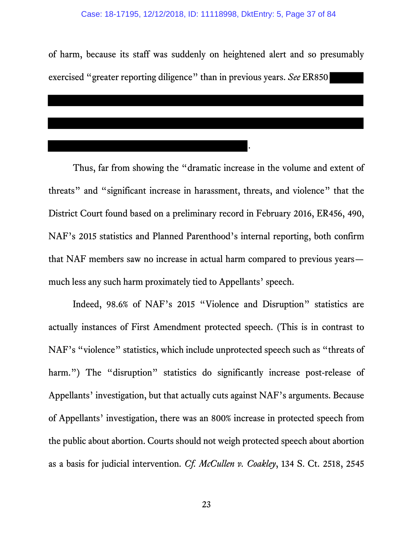of harm, because its staff was suddenly on heightened alert and so presumably exercised "greater reporting diligence" than in previous years. *See* ER850

.

Thus, far from showing the "dramatic increase in the volume and extent of threats" and "significant increase in harassment, threats, and violence" that the District Court found based on a preliminary record in February 2016, ER456, 490, NAF's 2015 statistics and Planned Parenthood's internal reporting, both confirm that NAF members saw no increase in actual harm compared to previous years much less any such harm proximately tied to Appellants' speech.

Indeed, 98.6% of NAF's 2015 "Violence and Disruption" statistics are actually instances of First Amendment protected speech. (This is in contrast to NAF's "violence" statistics, which include unprotected speech such as "threats of harm.") The "disruption" statistics do significantly increase post-release of Appellants' investigation, but that actually cuts against NAF's arguments. Because of Appellants' investigation, there was an 800% increase in protected speech from the public about abortion. Courts should not weigh protected speech about abortion as a basis for judicial intervention. *Cf. McCullen v. Coakley*, 134 S. Ct. 2518, 2545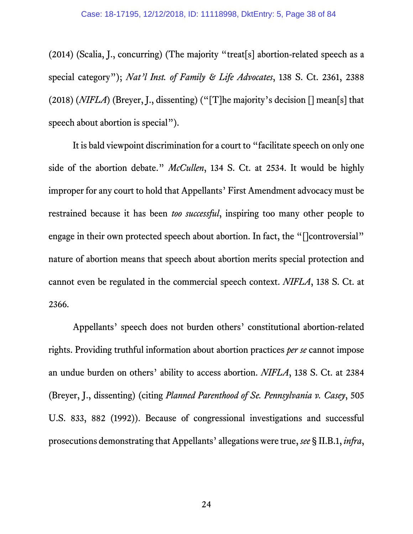(2014) (Scalia, J., concurring) (The majority "treat[s] abortion-related speech as a special category"); *Nat'l Inst. of Family & Life Advocates*, 138 S. Ct. 2361, 2388 (2018) (*NIFLA*) (Breyer, J., dissenting) ("[T]he majority's decision [] mean[s] that speech about abortion is special").

It is bald viewpoint discrimination for a court to "facilitate speech on only one side of the abortion debate." *McCullen*, 134 S. Ct. at 2534. It would be highly improper for any court to hold that Appellants' First Amendment advocacy must be restrained because it has been *too successful*, inspiring too many other people to engage in their own protected speech about abortion. In fact, the "[]controversial" nature of abortion means that speech about abortion merits special protection and cannot even be regulated in the commercial speech context. *NIFLA*, 138 S. Ct. at 2366.

Appellants' speech does not burden others' constitutional abortion-related rights. Providing truthful information about abortion practices *per se* cannot impose an undue burden on others' ability to access abortion. *NIFLA*, 138 S. Ct. at 2384 (Breyer, J., dissenting) (citing *Planned Parenthood of Se. Pennsylvania v. Casey*, 505 U.S. 833, 882 (1992)). Because of congressional investigations and successful prosecutions demonstrating that Appellants' allegations were true, *see* § II.B.1, *infra*,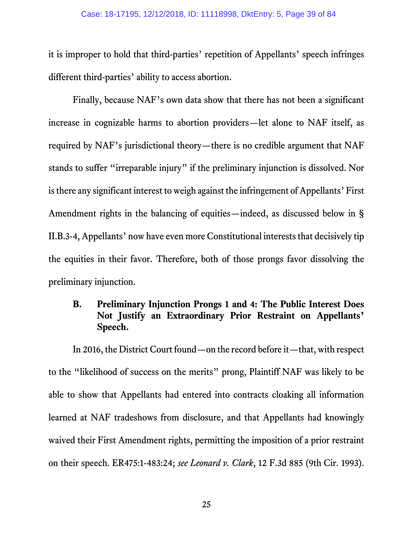it is improper to hold that third-parties' repetition of Appellants' speech infringes different third-parties' ability to access abortion.

Finally, because NAF's own data show that there has not been a significant increase in cognizable harms to abortion providers—let alone to NAF itself, as required by NAF's jurisdictional theory—there is no credible argument that NAF stands to suffer "irreparable injury" if the preliminary injunction is dissolved. Nor is there any significant interest to weigh against the infringement of Appellants' First Amendment rights in the balancing of equities—indeed, as discussed below in § II.B.3-4, Appellants' now have even more Constitutional interests that decisively tip the equities in their favor. Therefore, both of those prongs favor dissolving the preliminary injunction.

## **B. Preliminary Injunction Prongs 1 and 4: The Public Interest Does Not Justify an Extraordinary Prior Restraint on Appellants' Speech.**

In 2016, the District Court found—on the record before it—that, with respect to the "likelihood of success on the merits" prong, Plaintiff NAF was likely to be able to show that Appellants had entered into contracts cloaking all information learned at NAF tradeshows from disclosure, and that Appellants had knowingly waived their First Amendment rights, permitting the imposition of a prior restraint on their speech. ER475:1-483:24; *see Leonard v. Clark*, 12 F.3d 885 (9th Cir. 1993).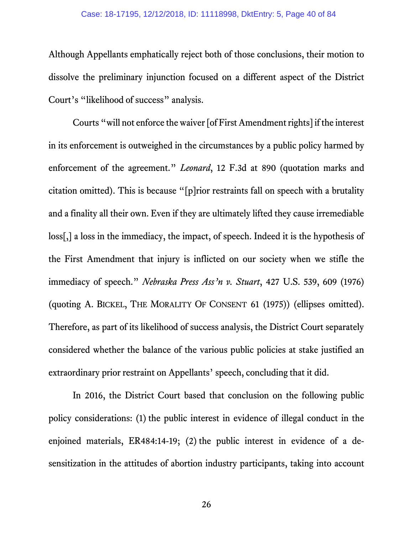Although Appellants emphatically reject both of those conclusions, their motion to dissolve the preliminary injunction focused on a different aspect of the District Court's "likelihood of success" analysis.

Courts "will not enforce the waiver [of First Amendment rights] if the interest in its enforcement is outweighed in the circumstances by a public policy harmed by enforcement of the agreement." *Leonard*, 12 F.3d at 890 (quotation marks and citation omitted). This is because "[p]rior restraints fall on speech with a brutality and a finality all their own. Even if they are ultimately lifted they cause irremediable loss[,] a loss in the immediacy, the impact, of speech. Indeed it is the hypothesis of the First Amendment that injury is inflicted on our society when we stifle the immediacy of speech." *Nebraska Press Ass'n v. Stuart*, 427 U.S. 539, 609 (1976) (quoting A. BICKEL, THE MORALITY OF CONSENT 61 (1975)) (ellipses omitted). Therefore, as part of its likelihood of success analysis, the District Court separately considered whether the balance of the various public policies at stake justified an extraordinary prior restraint on Appellants' speech, concluding that it did.

In 2016, the District Court based that conclusion on the following public policy considerations: (1) the public interest in evidence of illegal conduct in the enjoined materials, ER484:14-19; (2) the public interest in evidence of a desensitization in the attitudes of abortion industry participants, taking into account

26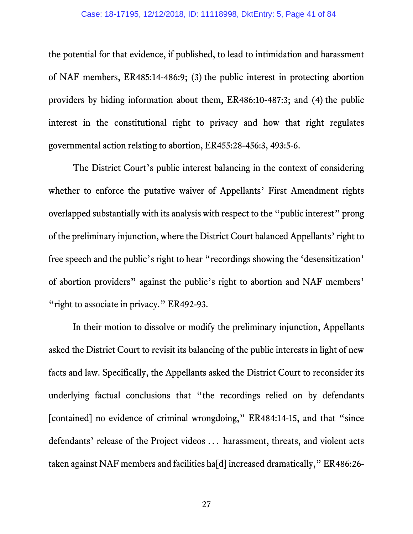the potential for that evidence, if published, to lead to intimidation and harassment of NAF members, ER485:14-486:9; (3) the public interest in protecting abortion providers by hiding information about them, ER486:10-487:3; and (4) the public interest in the constitutional right to privacy and how that right regulates governmental action relating to abortion, ER455:28-456:3, 493:5-6.

The District Court's public interest balancing in the context of considering whether to enforce the putative waiver of Appellants' First Amendment rights overlapped substantially with its analysis with respect to the "public interest" prong of the preliminary injunction, where the District Court balanced Appellants' right to free speech and the public's right to hear "recordings showing the 'desensitization' of abortion providers" against the public's right to abortion and NAF members' "right to associate in privacy." ER492-93.

In their motion to dissolve or modify the preliminary injunction, Appellants asked the District Court to revisit its balancing of the public interests in light of new facts and law. Specifically, the Appellants asked the District Court to reconsider its underlying factual conclusions that "the recordings relied on by defendants [contained] no evidence of criminal wrongdoing," ER484:14-15, and that "since defendants' release of the Project videos ... harassment, threats, and violent acts taken against NAF members and facilities ha[d] increased dramatically," ER486:26-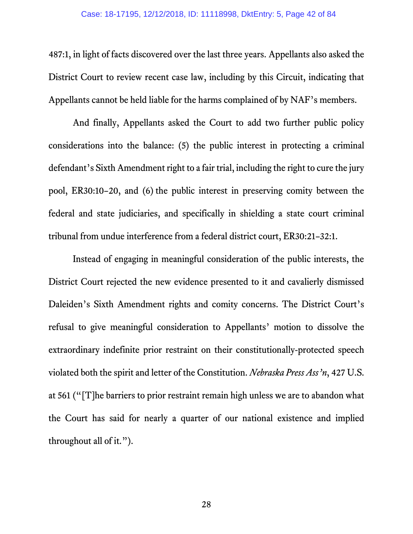487:1, in light of facts discovered over the last three years. Appellants also asked the District Court to review recent case law, including by this Circuit, indicating that Appellants cannot be held liable for the harms complained of by NAF's members.

And finally, Appellants asked the Court to add two further public policy considerations into the balance: (5) the public interest in protecting a criminal defendant's Sixth Amendment right to a fair trial, including the right to cure the jury pool, ER30:10–20, and (6) the public interest in preserving comity between the federal and state judiciaries, and specifically in shielding a state court criminal tribunal from undue interference from a federal district court, ER30:21–32:1.

Instead of engaging in meaningful consideration of the public interests, the District Court rejected the new evidence presented to it and cavalierly dismissed Daleiden's Sixth Amendment rights and comity concerns. The District Court's refusal to give meaningful consideration to Appellants' motion to dissolve the extraordinary indefinite prior restraint on their constitutionally-protected speech violated both the spirit and letter of the Constitution. *Nebraska Press Ass'n*, 427 U.S. at 561 ("[T]he barriers to prior restraint remain high unless we are to abandon what the Court has said for nearly a quarter of our national existence and implied throughout all of it.").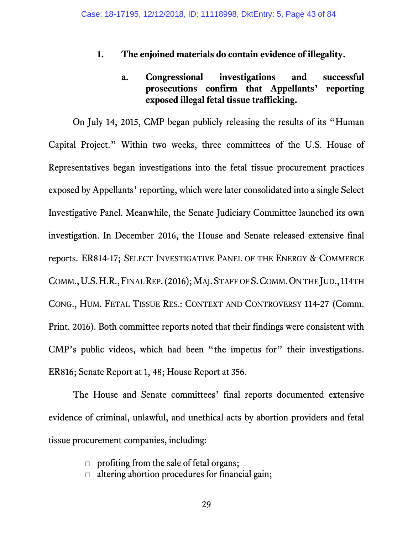#### **1. The enjoined materials do contain evidence of illegality.**

# **a. Congressional investigations and successful prosecutions confirm that Appellants' reporting exposed illegal fetal tissue trafficking.**

On July 14, 2015, CMP began publicly releasing the results of its "Human Capital Project." Within two weeks, three committees of the U.S. House of Representatives began investigations into the fetal tissue procurement practices exposed by Appellants' reporting, which were later consolidated into a single Select Investigative Panel. Meanwhile, the Senate Judiciary Committee launched its own investigation. In December 2016, the House and Senate released extensive final reports. ER814-17; SELECT INVESTIGATIVE PANEL OF THE ENERGY & COMMERCE COMM.,U.S.H.R.,FINAL REP.(2016); MAJ.STAFF OF S.COMM.ON THE JUD., 114TH CONG., HUM. FETAL TISSUE RES.: CONTEXT AND CONTROVERSY 114-27 (Comm. Print. 2016). Both committee reports noted that their findings were consistent with CMP's public videos, which had been "the impetus for" their investigations. ER816; Senate Report at 1, 48; House Report at 356.

The House and Senate committees' final reports documented extensive evidence of criminal, unlawful, and unethical acts by abortion providers and fetal tissue procurement companies, including:

 $\Box$  profiting from the sale of fetal organs;

 $\Box$  altering abortion procedures for financial gain;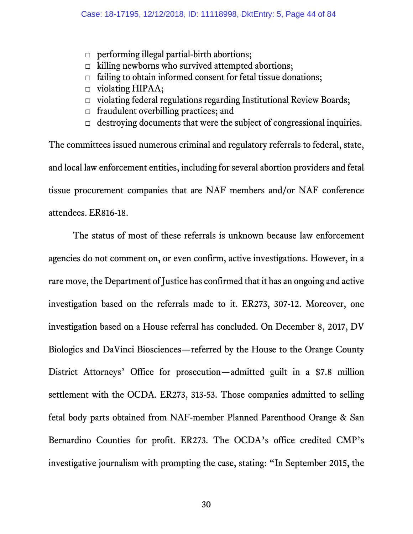- $\Box$  performing illegal partial-birth abortions;
- $\Box$  killing newborns who survived attempted abortions;
- $\Box$  failing to obtain informed consent for fetal tissue donations;
- $\Box$  violating HIPAA;
- $\Box$  violating federal regulations regarding Institutional Review Boards;
- $\Box$  fraudulent overbilling practices; and
- $\Box$  destroying documents that were the subject of congressional inquiries.

The committees issued numerous criminal and regulatory referrals to federal, state, and local law enforcement entities, including for several abortion providers and fetal tissue procurement companies that are NAF members and/or NAF conference attendees. ER816-18.

The status of most of these referrals is unknown because law enforcement agencies do not comment on, or even confirm, active investigations. However, in a rare move, the Department of Justice has confirmed that it has an ongoing and active investigation based on the referrals made to it. ER273, 307-12. Moreover, one investigation based on a House referral has concluded. On December 8, 2017, DV Biologics and DaVinci Biosciences—referred by the House to the Orange County District Attorneys' Office for prosecution—admitted guilt in a \$7.8 million settlement with the OCDA. ER273, 313-53. Those companies admitted to selling fetal body parts obtained from NAF-member Planned Parenthood Orange & San Bernardino Counties for profit. ER273. The OCDA's office credited CMP's investigative journalism with prompting the case, stating: "In September 2015, the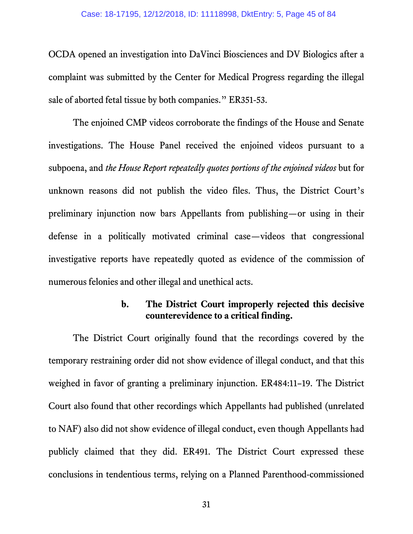OCDA opened an investigation into DaVinci Biosciences and DV Biologics after a complaint was submitted by the Center for Medical Progress regarding the illegal sale of aborted fetal tissue by both companies." ER351-53.

The enjoined CMP videos corroborate the findings of the House and Senate investigations. The House Panel received the enjoined videos pursuant to a subpoena, and *the House Report repeatedly quotes portions of the enjoined videos* but for unknown reasons did not publish the video files. Thus, the District Court's preliminary injunction now bars Appellants from publishing—or using in their defense in a politically motivated criminal case—videos that congressional investigative reports have repeatedly quoted as evidence of the commission of numerous felonies and other illegal and unethical acts.

#### **b. The District Court improperly rejected this decisive counterevidence to a critical finding.**

The District Court originally found that the recordings covered by the temporary restraining order did not show evidence of illegal conduct, and that this weighed in favor of granting a preliminary injunction. ER484:11–19. The District Court also found that other recordings which Appellants had published (unrelated to NAF) also did not show evidence of illegal conduct, even though Appellants had publicly claimed that they did. ER491. The District Court expressed these conclusions in tendentious terms, relying on a Planned Parenthood-commissioned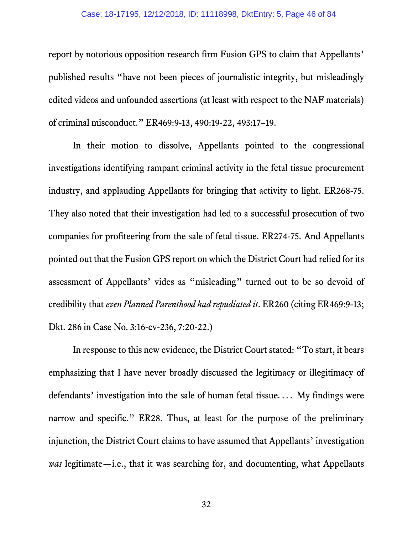#### Case: 18-17195, 12/12/2018, ID: 11118998, DktEntry: 5, Page 46 of 84

report by notorious opposition research firm Fusion GPS to claim that Appellants' published results "have not been pieces of journalistic integrity, but misleadingly edited videos and unfounded assertions (at least with respect to the NAF materials) of criminal misconduct." ER469:9-13, 490:19-22, 493:17–19.

In their motion to dissolve, Appellants pointed to the congressional investigations identifying rampant criminal activity in the fetal tissue procurement industry, and applauding Appellants for bringing that activity to light. ER268-75. They also noted that their investigation had led to a successful prosecution of two companies for profiteering from the sale of fetal tissue. ER274-75. And Appellants pointed out that the Fusion GPS report on which the District Court had relied for its assessment of Appellants' vides as "misleading" turned out to be so devoid of credibility that *even Planned Parenthood had repudiated it*. ER260 (citing ER469:9-13; Dkt. 286 in Case No. 3:16-cv-236, 7:20-22.)

In response to this new evidence, the District Court stated: "To start, it bears emphasizing that I have never broadly discussed the legitimacy or illegitimacy of defendants' investigation into the sale of human fetal tissue... . My findings were narrow and specific." ER28. Thus, at least for the purpose of the preliminary injunction, the District Court claims to have assumed that Appellants' investigation *was* legitimate—i.e., that it was searching for, and documenting, what Appellants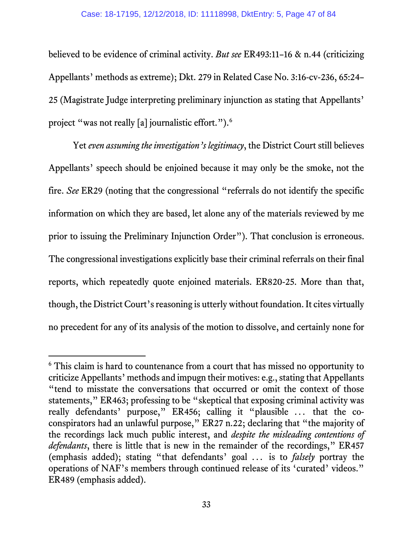believed to be evidence of criminal activity. *But see* ER493:11–16 & n.44 (criticizing Appellants' methods as extreme); Dkt. 279 in Related Case No. 3:16-cv-236, 65:24– 25 (Magistrate Judge interpreting preliminary injunction as stating that Appellants' project "was not really [a] journalistic effort.").<sup>[6](#page-46-0)</sup>

Yet *even assuming the investigation's legitimacy*, the District Court still believes Appellants' speech should be enjoined because it may only be the smoke, not the fire. *See* ER29 (noting that the congressional "referrals do not identify the specific information on which they are based, let alone any of the materials reviewed by me prior to issuing the Preliminary Injunction Order"). That conclusion is erroneous. The congressional investigations explicitly base their criminal referrals on their final reports, which repeatedly quote enjoined materials. ER820-25. More than that, though, the District Court's reasoning is utterly without foundation. It cites virtually no precedent for any of its analysis of the motion to dissolve, and certainly none for

 $\overline{a}$ 

<span id="page-46-0"></span><sup>&</sup>lt;sup>6</sup> This claim is hard to countenance from a court that has missed no opportunity to criticize Appellants' methods and impugn their motives: e.g., stating that Appellants "tend to misstate the conversations that occurred or omit the context of those statements," ER463; professing to be "skeptical that exposing criminal activity was really defendants' purpose," ER456; calling it "plausible ... that the coconspirators had an unlawful purpose," ER27 n.22; declaring that "the majority of the recordings lack much public interest, and *despite the misleading contentions of defendants*, there is little that is new in the remainder of the recordings," ER457 (emphasis added); stating "that defendants' goal ... is to *falsely* portray the operations of NAF's members through continued release of its 'curated' videos." ER489 (emphasis added).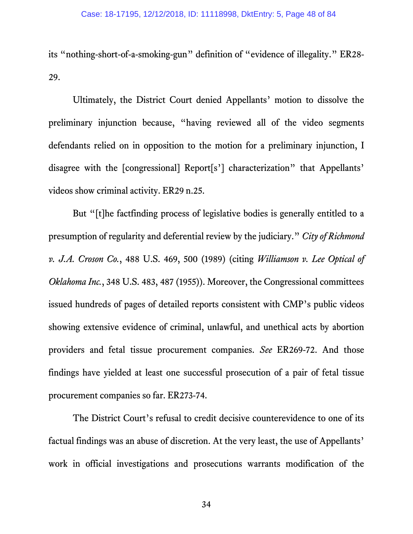its "nothing-short-of-a-smoking-gun" definition of "evidence of illegality." ER28- 29.

Ultimately, the District Court denied Appellants' motion to dissolve the preliminary injunction because, "having reviewed all of the video segments defendants relied on in opposition to the motion for a preliminary injunction, I disagree with the [congressional] Report[s'] characterization" that Appellants' videos show criminal activity. ER29 n.25.

But "[t]he factfinding process of legislative bodies is generally entitled to a presumption of regularity and deferential review by the judiciary." *City of Richmond v. J.A. Croson Co.*, 488 U.S. 469, 500 (1989) (citing *Williamson v. Lee Optical of Oklahoma Inc.*, 348 U.S. 483, 487 (1955)). Moreover, the Congressional committees issued hundreds of pages of detailed reports consistent with CMP's public videos showing extensive evidence of criminal, unlawful, and unethical acts by abortion providers and fetal tissue procurement companies. *See* ER269-72. And those findings have yielded at least one successful prosecution of a pair of fetal tissue procurement companies so far. ER273-74.

The District Court's refusal to credit decisive counterevidence to one of its factual findings was an abuse of discretion. At the very least, the use of Appellants' work in official investigations and prosecutions warrants modification of the

34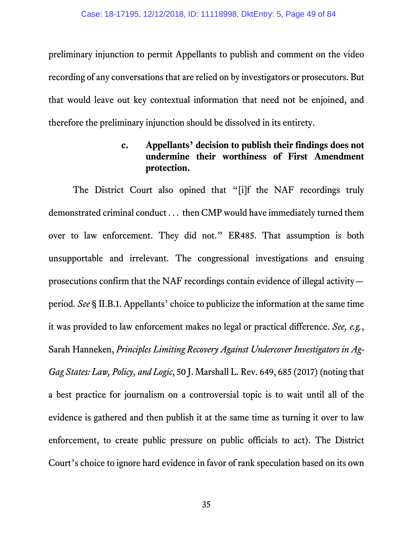preliminary injunction to permit Appellants to publish and comment on the video recording of any conversations that are relied on by investigators or prosecutors. But that would leave out key contextual information that need not be enjoined, and therefore the preliminary injunction should be dissolved in its entirety.

# **c. Appellants' decision to publish their findings does not undermine their worthiness of First Amendment protection.**

The District Court also opined that "[i]f the NAF recordings truly demonstrated criminal conduct ... then CMP would have immediately turned them over to law enforcement. They did not." ER485. That assumption is both unsupportable and irrelevant. The congressional investigations and ensuing prosecutions confirm that the NAF recordings contain evidence of illegal activity period. *See* § II.B.1. Appellants' choice to publicize the information at the same time it was provided to law enforcement makes no legal or practical difference. *See, e.g.*, Sarah Hanneken, *Principles Limiting Recovery Against Undercover Investigators in Ag-Gag States: Law, Policy, and Logic*, 50 J. Marshall L. Rev. 649, 685 (2017) (noting that a best practice for journalism on a controversial topic is to wait until all of the evidence is gathered and then publish it at the same time as turning it over to law enforcement, to create public pressure on public officials to act). The District Court's choice to ignore hard evidence in favor of rank speculation based on its own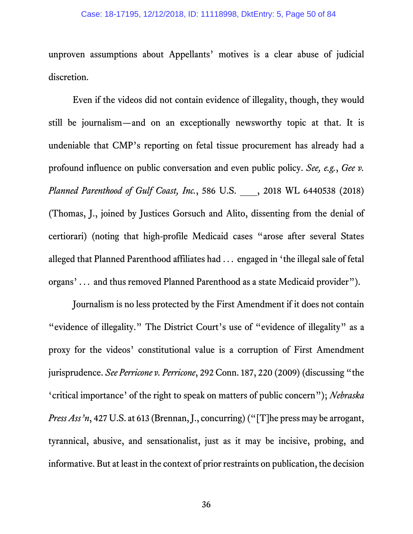unproven assumptions about Appellants' motives is a clear abuse of judicial discretion.

Even if the videos did not contain evidence of illegality, though, they would still be journalism—and on an exceptionally newsworthy topic at that. It is undeniable that CMP's reporting on fetal tissue procurement has already had a profound influence on public conversation and even public policy. *See, e.g.*, *Gee v. Planned Parenthood of Gulf Coast, Inc.*, 586 U.S. \_\_\_, 2018 WL 6440538 (2018) (Thomas, J., joined by Justices Gorsuch and Alito, dissenting from the denial of certiorari) (noting that high-profile Medicaid cases "arose after several States alleged that Planned Parenthood affiliates had ... engaged in 'the illegal sale of fetal organs' ... and thus removed Planned Parenthood as a state Medicaid provider").

Journalism is no less protected by the First Amendment if it does not contain "evidence of illegality." The District Court's use of "evidence of illegality" as a proxy for the videos' constitutional value is a corruption of First Amendment jurisprudence. *See Perricone v. Perricone*, 292 Conn. 187, 220 (2009) (discussing "the 'critical importance' of the right to speak on matters of public concern"); *Nebraska Press Ass*<sup>3</sup>n, 427 U.S. at 613 (Brennan, J., concurring) ("[T]he press may be arrogant, tyrannical, abusive, and sensationalist, just as it may be incisive, probing, and informative. But at least in the context of prior restraints on publication, the decision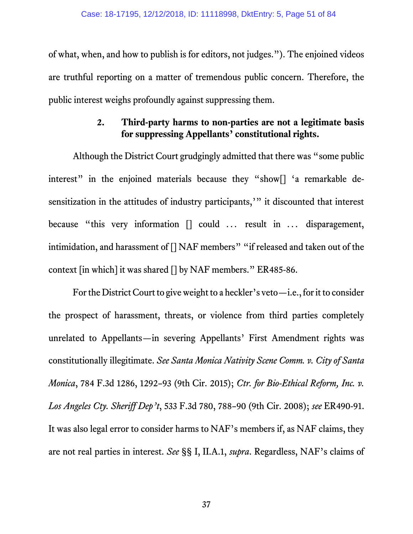of what, when, and how to publish is for editors, not judges."). The enjoined videos are truthful reporting on a matter of tremendous public concern. Therefore, the public interest weighs profoundly against suppressing them.

# **2. Third-party harms to non-parties are not a legitimate basis for suppressing Appellants' constitutional rights.**

Although the District Court grudgingly admitted that there was "some public interest" in the enjoined materials because they "show<sup>[]</sup> 'a remarkable desensitization in the attitudes of industry participants,'" it discounted that interest because "this very information [] could ... result in ... disparagement, intimidation, and harassment of [] NAF members" "if released and taken out of the context [in which] it was shared [] by NAF members." ER485-86.

For the District Court to give weight to a heckler's veto—i.e., for it to consider the prospect of harassment, threats, or violence from third parties completely unrelated to Appellants—in severing Appellants' First Amendment rights was constitutionally illegitimate. *See Santa Monica Nativity Scene Comm. v. City of Santa Monica*, 784 F.3d 1286, 1292–93 (9th Cir. 2015); *Ctr. for Bio-Ethical Reform, Inc. v. Los Angeles Cty. Sheriff Dep't*, 533 F.3d 780, 788–90 (9th Cir. 2008); *see* ER490-91. It was also legal error to consider harms to NAF's members if, as NAF claims, they are not real parties in interest. *See* §§ I, II.A.1, *supra*. Regardless, NAF's claims of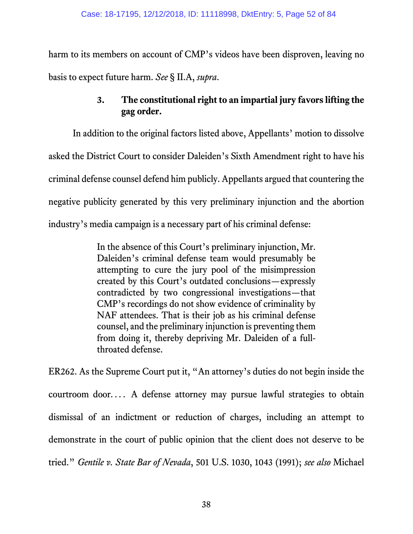harm to its members on account of CMP's videos have been disproven, leaving no basis to expect future harm. *See* § II.A, *supra*.

# **3. The constitutional right to an impartial jury favors lifting the gag order.**

In addition to the original factors listed above, Appellants' motion to dissolve asked the District Court to consider Daleiden's Sixth Amendment right to have his criminal defense counsel defend him publicly. Appellants argued that countering the negative publicity generated by this very preliminary injunction and the abortion industry's media campaign is a necessary part of his criminal defense:

> In the absence of this Court's preliminary injunction, Mr. Daleiden's criminal defense team would presumably be attempting to cure the jury pool of the misimpression created by this Court's outdated conclusions—expressly contradicted by two congressional investigations—that CMP's recordings do not show evidence of criminality by NAF attendees. That is their job as his criminal defense counsel, and the preliminary injunction is preventing them from doing it, thereby depriving Mr. Daleiden of a fullthroated defense.

ER262. As the Supreme Court put it, "An attorney's duties do not begin inside the courtroom door... . A defense attorney may pursue lawful strategies to obtain dismissal of an indictment or reduction of charges, including an attempt to demonstrate in the court of public opinion that the client does not deserve to be tried." *Gentile v. State Bar of Nevada*, 501 U.S. 1030, 1043 (1991); *see also* Michael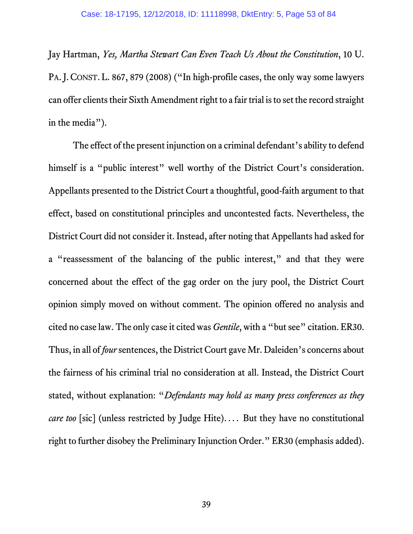Jay Hartman, *Yes, Martha Stewart Can Even Teach Us About the Constitution*, 10 U. PA.J. CONST. L. 867, 879 (2008) ("In high-profile cases, the only way some lawyers can offer clients their Sixth Amendment right to a fair trial is to set the record straight in the media").

The effect of the present injunction on a criminal defendant's ability to defend himself is a "public interest" well worthy of the District Court's consideration. Appellants presented to the District Court a thoughtful, good-faith argument to that effect, based on constitutional principles and uncontested facts. Nevertheless, the District Court did not consider it. Instead, after noting that Appellants had asked for a "reassessment of the balancing of the public interest," and that they were concerned about the effect of the gag order on the jury pool, the District Court opinion simply moved on without comment. The opinion offered no analysis and cited no case law. The only case it cited was *Gentile*, with a "but see" citation. ER30. Thus, in all of *four*sentences, the District Court gave Mr. Daleiden's concerns about the fairness of his criminal trial no consideration at all. Instead, the District Court stated, without explanation: "*Defendants may hold as many press conferences as they care too* [sic] (unless restricted by Judge Hite).... But they have no constitutional right to further disobey the Preliminary Injunction Order." ER30 (emphasis added).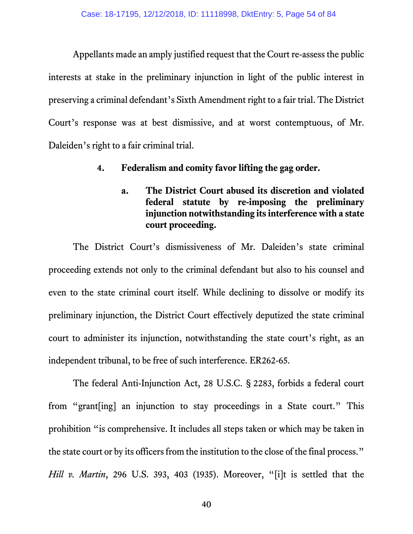Appellants made an amply justified request that the Court re-assess the public interests at stake in the preliminary injunction in light of the public interest in preserving a criminal defendant's Sixth Amendment right to a fair trial. The District Court's response was at best dismissive, and at worst contemptuous, of Mr. Daleiden's right to a fair criminal trial.

#### **4. Federalism and comity favor lifting the gag order.**

**a. The District Court abused its discretion and violated federal statute by re-imposing the preliminary injunction notwithstanding its interference with a state court proceeding.**

The District Court's dismissiveness of Mr. Daleiden's state criminal proceeding extends not only to the criminal defendant but also to his counsel and even to the state criminal court itself. While declining to dissolve or modify its preliminary injunction, the District Court effectively deputized the state criminal court to administer its injunction, notwithstanding the state court's right, as an independent tribunal, to be free of such interference. ER262-65.

The federal Anti-Injunction Act, 28 U.S.C. § 2283, forbids a federal court from "grant[ing] an injunction to stay proceedings in a State court." This prohibition "is comprehensive. It includes all steps taken or which may be taken in the state court or by its officers from the institution to the close of the final process." *Hill v. Martin*, 296 U.S. 393, 403 (1935). Moreover, "[i]t is settled that the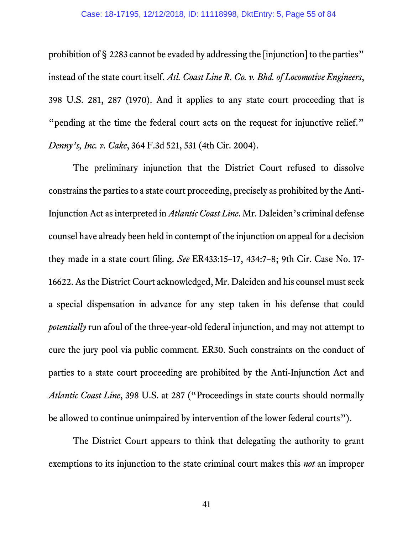prohibition of § 2283 cannot be evaded by addressing the [injunction] to the parties" instead of the state court itself. *Atl. Coast Line R. Co. v. Bhd. of Locomotive Engineers*, 398 U.S. 281, 287 (1970). And it applies to any state court proceeding that is "pending at the time the federal court acts on the request for injunctive relief." *Denny's, Inc. v. Cake*, 364 F.3d 521, 531 (4th Cir. 2004).

The preliminary injunction that the District Court refused to dissolve constrainsthe parties to a state court proceeding, precisely as prohibited by the Anti-Injunction Act as interpreted in *Atlantic Coast Line*. Mr. Daleiden's criminal defense counsel have already been held in contempt of the injunction on appeal for a decision they made in a state court filing. *See* ER433:15–17, 434:7–8; 9th Cir. Case No. 17- 16622. As the District Court acknowledged, Mr. Daleiden and his counsel must seek a special dispensation in advance for any step taken in his defense that could *potentially* run afoul of the three-year-old federal injunction, and may not attempt to cure the jury pool via public comment. ER30. Such constraints on the conduct of parties to a state court proceeding are prohibited by the Anti-Injunction Act and *Atlantic Coast Line*, 398 U.S. at 287 ("Proceedings in state courts should normally be allowed to continue unimpaired by intervention of the lower federal courts").

The District Court appears to think that delegating the authority to grant exemptions to its injunction to the state criminal court makes this *not* an improper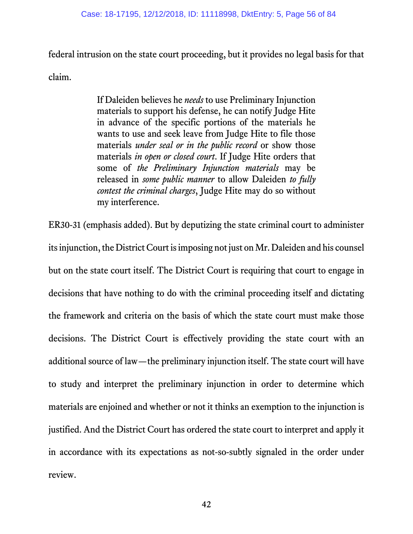federal intrusion on the state court proceeding, but it provides no legal basis for that claim.

> If Daleiden believes he *needs* to use Preliminary Injunction materials to support his defense, he can notify Judge Hite in advance of the specific portions of the materials he wants to use and seek leave from Judge Hite to file those materials *under seal or in the public record* or show those materials *in open or closed court*. If Judge Hite orders that some of *the Preliminary Injunction materials* may be released in *some public manner* to allow Daleiden *to fully contest the criminal charges*, Judge Hite may do so without my interference.

ER30-31 (emphasis added). But by deputizing the state criminal court to administer its injunction, the District Court is imposing not just on Mr. Daleiden and his counsel but on the state court itself. The District Court is requiring that court to engage in decisions that have nothing to do with the criminal proceeding itself and dictating the framework and criteria on the basis of which the state court must make those decisions. The District Court is effectively providing the state court with an additional source of law—the preliminary injunction itself. The state court will have to study and interpret the preliminary injunction in order to determine which materials are enjoined and whether or not it thinks an exemption to the injunction is justified. And the District Court has ordered the state court to interpret and apply it in accordance with its expectations as not-so-subtly signaled in the order under review.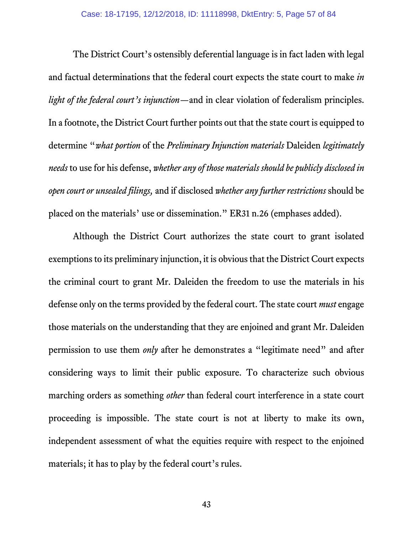The District Court's ostensibly deferential language is in fact laden with legal and factual determinations that the federal court expects the state court to make *in light of the federal court's injunction—*and in clear violation of federalism principles. In a footnote, the District Court further points out that the state court is equipped to determine "*what portion* of the *Preliminary Injunction materials* Daleiden *legitimately needs* to use for his defense, *whether any of those materials should be publicly disclosed in open court or unsealed filings,* and if disclosed *whether any further restrictions* should be placed on the materials' use or dissemination." ER31 n.26 (emphases added).

Although the District Court authorizes the state court to grant isolated exemptions to its preliminary injunction, it is obvious that the District Court expects the criminal court to grant Mr. Daleiden the freedom to use the materials in his defense only on the terms provided by the federal court. The state court *must* engage those materials on the understanding that they are enjoined and grant Mr. Daleiden permission to use them *only* after he demonstrates a "legitimate need" and after considering ways to limit their public exposure. To characterize such obvious marching orders as something *other* than federal court interference in a state court proceeding is impossible. The state court is not at liberty to make its own, independent assessment of what the equities require with respect to the enjoined materials; it has to play by the federal court's rules.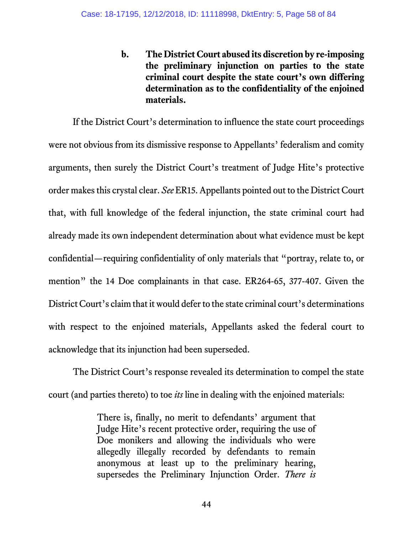**b. The District Court abused its discretion by re-imposing the preliminary injunction on parties to the state criminal court despite the state court's own differing determination as to the confidentiality of the enjoined materials.**

If the District Court's determination to influence the state court proceedings were not obvious from its dismissive response to Appellants' federalism and comity arguments, then surely the District Court's treatment of Judge Hite's protective order makes this crystal clear. *See* ER15. Appellants pointed out to the District Court that, with full knowledge of the federal injunction, the state criminal court had already made its own independent determination about what evidence must be kept confidential—requiring confidentiality of only materials that "portray, relate to, or mention" the 14 Doe complainants in that case. ER264-65, 377-407. Given the District Court's claim that it would defer to the state criminal court's determinations with respect to the enjoined materials, Appellants asked the federal court to acknowledge that its injunction had been superseded.

The District Court's response revealed its determination to compel the state court (and parties thereto) to toe *its* line in dealing with the enjoined materials:

> There is, finally, no merit to defendants' argument that Judge Hite's recent protective order, requiring the use of Doe monikers and allowing the individuals who were allegedly illegally recorded by defendants to remain anonymous at least up to the preliminary hearing, supersedes the Preliminary Injunction Order. *There is*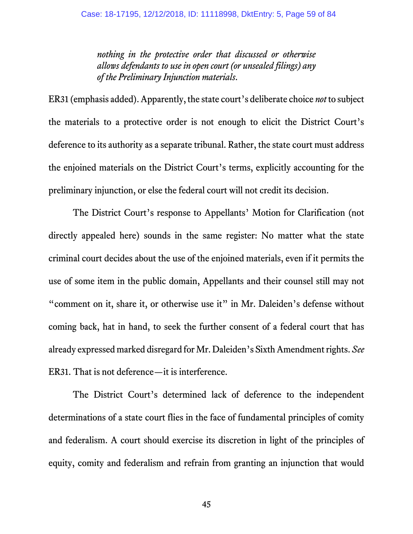*nothing in the protective order that discussed or otherwise allows defendants to use in open court (or unsealed filings) any of the Preliminary Injunction materials*.

ER31 (emphasis added).Apparently, the state court's deliberate choice *not* to subject the materials to a protective order is not enough to elicit the District Court's deference to its authority as a separate tribunal. Rather, the state court must address the enjoined materials on the District Court's terms, explicitly accounting for the preliminary injunction, or else the federal court will not credit its decision.

The District Court's response to Appellants' Motion for Clarification (not directly appealed here) sounds in the same register: No matter what the state criminal court decides about the use of the enjoined materials, even if it permits the use of some item in the public domain, Appellants and their counsel still may not "comment on it, share it, or otherwise use it" in Mr. Daleiden's defense without coming back, hat in hand, to seek the further consent of a federal court that has already expressed marked disregard for Mr. Daleiden's Sixth Amendment rights. *See*  ER31. That is not deference—it is interference.

The District Court's determined lack of deference to the independent determinations of a state court flies in the face of fundamental principles of comity and federalism. A court should exercise its discretion in light of the principles of equity, comity and federalism and refrain from granting an injunction that would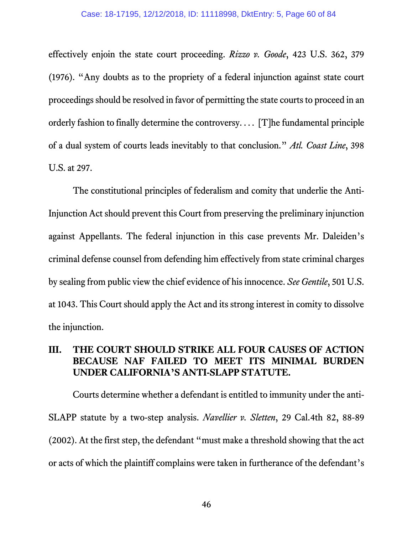effectively enjoin the state court proceeding. *Rizzo v. Goode*, 423 U.S. 362, 379 (1976). "Any doubts as to the propriety of a federal injunction against state court proceedings should be resolved in favor of permitting the state courts to proceed in an orderly fashion to finally determine the controversy... . [T]he fundamental principle of a dual system of courts leads inevitably to that conclusion." *Atl. Coast Line*, 398 U.S. at 297.

The constitutional principles of federalism and comity that underlie the Anti-Injunction Actshould prevent this Court from preserving the preliminary injunction against Appellants. The federal injunction in this case prevents Mr. Daleiden's criminal defense counsel from defending him effectively from state criminal charges by sealing from public view the chief evidence of his innocence. *See Gentile*, 501 U.S. at 1043. This Court should apply the Act and its strong interest in comity to dissolve the injunction.

#### **III. THE COURT SHOULD STRIKE ALL FOUR CAUSES OF ACTION BECAUSE NAF FAILED TO MEET ITS MINIMAL BURDEN UNDER CALIFORNIA'S ANTI-SLAPP STATUTE.**

Courts determine whether a defendant is entitled to immunity under the anti-SLAPP statute by a two-step analysis. *Navellier v. Sletten*, 29 Cal.4th 82, 88-89 (2002). At the first step, the defendant "must make a threshold showing that the act or acts of which the plaintiff complains were taken in furtherance of the defendant's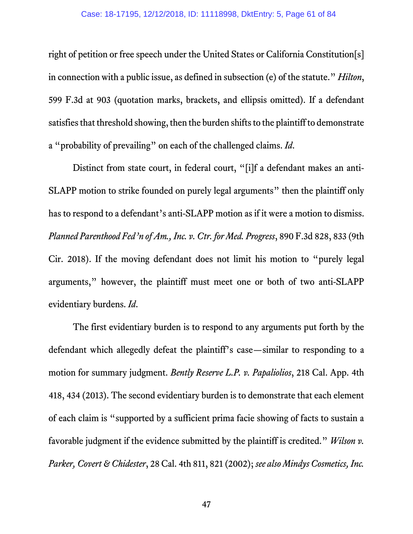right of petition or free speech under the United States or California Constitution[s] in connection with a public issue, as defined in subsection (e) of the statute." *Hilton*, 599 F.3d at 903 (quotation marks, brackets, and ellipsis omitted). If a defendant satisfies that threshold showing, then the burden shifts to the plaintiff to demonstrate a "probability of prevailing" on each of the challenged claims. *Id*.

Distinct from state court, in federal court, "[i]f a defendant makes an anti-SLAPP motion to strike founded on purely legal arguments" then the plaintiff only has to respond to a defendant's anti-SLAPP motion as if it were a motion to dismiss. *Planned Parenthood Fed'n of Am., Inc. v. Ctr. for Med. Progress*, 890 F.3d 828, 833 (9th Cir. 2018). If the moving defendant does not limit his motion to "purely legal arguments," however, the plaintiff must meet one or both of two anti-SLAPP evidentiary burdens. *Id*.

The first evidentiary burden is to respond to any arguments put forth by the defendant which allegedly defeat the plaintiff's case—similar to responding to a motion for summary judgment. *Bently Reserve L.P. v. Papaliolios*, 218 Cal. App. 4th 418, 434 (2013). The second evidentiary burden is to demonstrate that each element of each claim is "supported by a sufficient prima facie showing of facts to sustain a favorable judgment if the evidence submitted by the plaintiff is credited." *Wilson v. Parker, Covert & Chidester*, 28 Cal. 4th 811, 821 (2002); *see also Mindys Cosmetics, Inc.*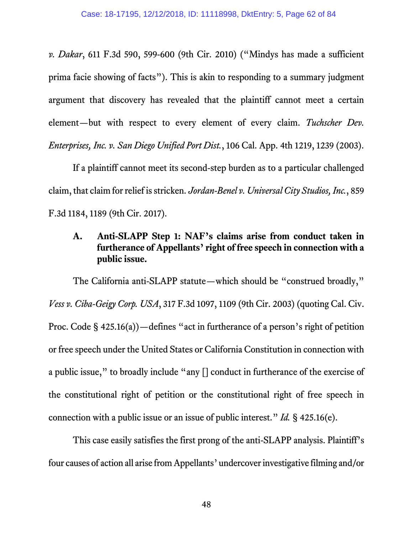*v. Dakar*, 611 F.3d 590, 599-600 (9th Cir. 2010) ("Mindys has made a sufficient prima facie showing of facts"). This is akin to responding to a summary judgment argument that discovery has revealed that the plaintiff cannot meet a certain element—but with respect to every element of every claim. *Tuchscher Dev. Enterprises, Inc. v. San Diego Unified Port Dist.*, 106 Cal. App. 4th 1219, 1239 (2003).

If a plaintiff cannot meet its second-step burden as to a particular challenged claim, that claim for relief is stricken. *Jordan-Benel v. Universal City Studios, Inc.*, 859 F.3d 1184, 1189 (9th Cir. 2017).

# **A. Anti-SLAPP Step 1: NAF's claims arise from conduct taken in furtherance of Appellants' right of free speech in connection with a public issue.**

The California anti-SLAPP statute—which should be "construed broadly," *Vess v. Ciba-Geigy Corp. USA*, 317 F.3d 1097, 1109 (9th Cir. 2003) (quoting Cal. Civ. Proc. Code § 425.16(a))—defines "act in furtherance of a person's right of petition or free speech under the United States or California Constitution in connection with a public issue," to broadly include "any [] conduct in furtherance of the exercise of the constitutional right of petition or the constitutional right of free speech in connection with a public issue or an issue of public interest." *Id.* § 425.16(e).

This case easily satisfies the first prong of the anti-SLAPP analysis. Plaintiff's four causes of action all arise from Appellants' undercover investigative filming and/or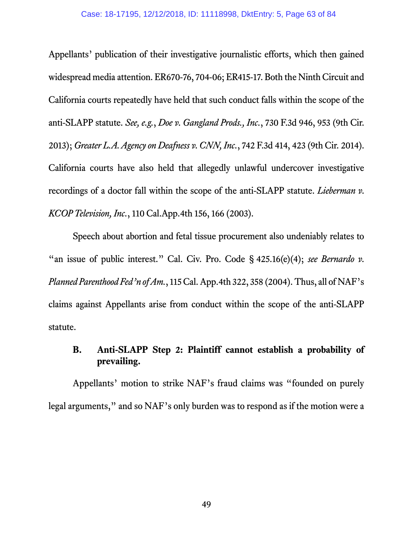Appellants' publication of their investigative journalistic efforts, which then gained widespread media attention. ER670-76, 704-06; ER415-17. Both the Ninth Circuit and California courts repeatedly have held that such conduct falls within the scope of the anti-SLAPP statute. *See, e.g.*, *Doe v. Gangland Prods., Inc.*, 730 F.3d 946, 953 (9th Cir. 2013); *Greater L.A. Agency on Deafness v. CNN, Inc.*, 742 F.3d 414, 423 (9th Cir. 2014). California courts have also held that allegedly unlawful undercover investigative recordings of a doctor fall within the scope of the anti-SLAPP statute. *Lieberman v. KCOP Television, Inc.*, 110 Cal.App.4th 156, 166 (2003).

Speech about abortion and fetal tissue procurement also undeniably relates to "an issue of public interest." Cal. Civ. Pro. Code § 425.16(e)(4); *see Bernardo v*. *Planned Parenthood Fed'n of Am.*, 115 Cal. App.4th 322, 358 (2004). Thus, all of NAF's claims against Appellants arise from conduct within the scope of the anti-SLAPP statute.

# **B. Anti-SLAPP Step 2: Plaintiff cannot establish a probability of prevailing.**

Appellants' motion to strike NAF's fraud claims was "founded on purely legal arguments," and so NAF's only burden was to respond as if the motion were a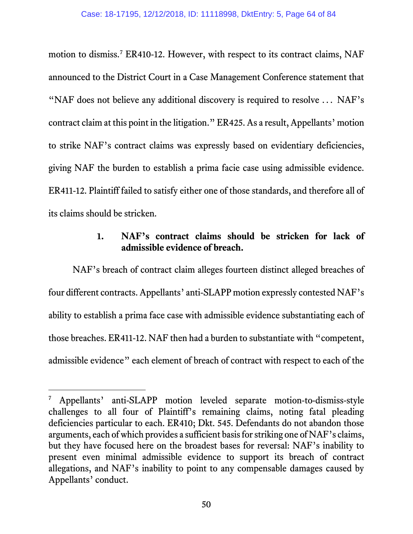motion to dismiss.<sup>[7](#page-63-0)</sup> ER410-12. However, with respect to its contract claims, NAF announced to the District Court in a Case Management Conference statement that "NAF does not believe any additional discovery is required to resolve ... NAF's contract claim at this point in the litigation." ER425. As a result, Appellants' motion to strike NAF's contract claims was expressly based on evidentiary deficiencies, giving NAF the burden to establish a prima facie case using admissible evidence. ER411-12. Plaintiff failed to satisfy either one of those standards, and therefore all of its claims should be stricken.

# **1. NAF's contract claims should be stricken for lack of admissible evidence of breach.**

NAF's breach of contract claim alleges fourteen distinct alleged breaches of four different contracts. Appellants' anti-SLAPP motion expressly contested NAF's ability to establish a prima face case with admissible evidence substantiating each of those breaches. ER411-12. NAF then had a burden to substantiate with "competent, admissible evidence" each element of breach of contract with respect to each of the

 $\overline{a}$ 

<span id="page-63-0"></span>Appellants' anti-SLAPP motion leveled separate motion-to-dismiss-style challenges to all four of Plaintiff's remaining claims, noting fatal pleading deficiencies particular to each. ER410; Dkt. 545. Defendants do not abandon those arguments, each of which provides a sufficient basis for striking one of NAF's claims, but they have focused here on the broadest bases for reversal: NAF's inability to present even minimal admissible evidence to support its breach of contract allegations, and NAF's inability to point to any compensable damages caused by Appellants' conduct.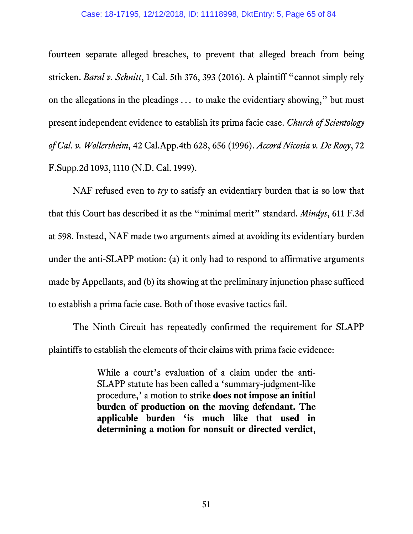fourteen separate alleged breaches, to prevent that alleged breach from being stricken. *Baral v. Schnitt*, 1 Cal. 5th 376, 393 (2016). A plaintiff "cannot simply rely on the allegations in the pleadings ... to make the evidentiary showing," but must present independent evidence to establish its prima facie case. *Church of Scientology of Cal. v. Wollersheim*, 42 Cal.App.4th 628, 656 (1996). *Accord Nicosia v. De Rooy*, 72 F.Supp.2d 1093, 1110 (N.D. Cal. 1999).

NAF refused even to *try* to satisfy an evidentiary burden that is so low that that this Court has described it as the "minimal merit" standard. *Mindys*, 611 F.3d at 598. Instead, NAF made two arguments aimed at avoiding its evidentiary burden under the anti-SLAPP motion: (a) it only had to respond to affirmative arguments made by Appellants, and (b) its showing at the preliminary injunction phase sufficed to establish a prima facie case. Both of those evasive tactics fail.

The Ninth Circuit has repeatedly confirmed the requirement for SLAPP plaintiffs to establish the elements of their claims with prima facie evidence:

> While a court's evaluation of a claim under the anti-SLAPP statute has been called a 'summary-judgment-like procedure,' a motion to strike **does not impose an initial burden of production on the moving defendant. The applicable burden 'is much like that used in determining a motion for nonsuit or directed verdict**,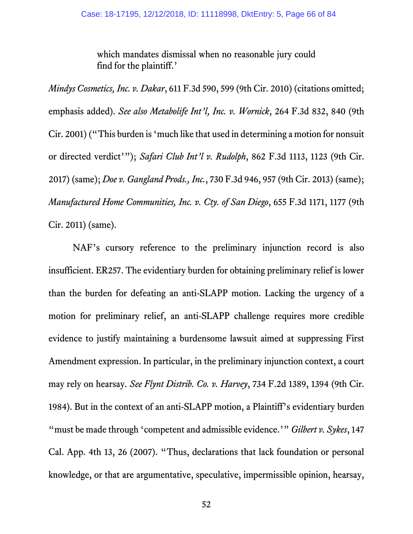which mandates dismissal when no reasonable jury could find for the plaintiff.'

*Mindys Cosmetics, Inc. v. Dakar*, 611 F.3d 590, 599 (9th Cir. 2010) (citations omitted; emphasis added). *See also Metabolife Int'l, Inc. v. Wornick*, 264 F.3d 832, 840 (9th Cir. 2001) ("This burden is 'much like that used in determining a motion for nonsuit or directed verdict'"); *Safari Club Int'l v. Rudolph*, 862 F.3d 1113, 1123 (9th Cir. 2017) (same); *Doe v. Gangland Prods., Inc.*, 730 F.3d 946, 957 (9th Cir. 2013) (same); *Manufactured Home Communities, Inc. v. Cty. of San Diego*, 655 F.3d 1171, 1177 (9th Cir. 2011) (same).

NAF's cursory reference to the preliminary injunction record is also insufficient. ER257. The evidentiary burden for obtaining preliminary relief is lower than the burden for defeating an anti-SLAPP motion. Lacking the urgency of a motion for preliminary relief, an anti-SLAPP challenge requires more credible evidence to justify maintaining a burdensome lawsuit aimed at suppressing First Amendment expression. In particular, in the preliminary injunction context, a court may rely on hearsay. *See Flynt Distrib. Co. v. Harvey*, 734 F.2d 1389, 1394 (9th Cir. 1984). But in the context of an anti-SLAPP motion, a Plaintiff's evidentiary burden "must be made through 'competent and admissible evidence.'" *Gilbert v. Sykes*, 147 Cal. App. 4th 13, 26 (2007). "Thus, declarations that lack foundation or personal knowledge, or that are argumentative, speculative, impermissible opinion, hearsay,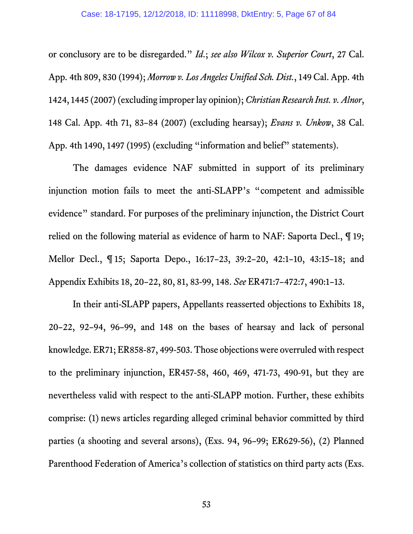or conclusory are to be disregarded." *Id*.; *see also Wilcox v. Superior Court*, 27 Cal. App. 4th 809, 830 (1994); *Morrow v. Los Angeles Unified Sch. Dist.*, 149 Cal. App. 4th 1424, 1445 (2007) (excluding improper lay opinion); *Christian Research Inst. v. Alnor*, 148 Cal. App. 4th 71, 83–84 (2007) (excluding hearsay); *Evans v. Unkow*, 38 Cal. App. 4th 1490, 1497 (1995) (excluding "information and belief" statements).

The damages evidence NAF submitted in support of its preliminary injunction motion fails to meet the anti-SLAPP's "competent and admissible evidence" standard. For purposes of the preliminary injunction, the District Court relied on the following material as evidence of harm to NAF: Saporta Decl., ¶ 19; Mellor Decl., ¶ 15; Saporta Depo., 16:17–23, 39:2–20, 42:1–10, 43:15–18; and Appendix Exhibits 18, 20–22, 80, 81, 83-99, 148. *See* ER471:7–472:7, 490:1–13.

In their anti-SLAPP papers, Appellants reasserted objections to Exhibits 18, 20–22, 92–94, 96–99, and 148 on the bases of hearsay and lack of personal knowledge. ER71; ER858-87, 499-503. Those objections were overruled with respect to the preliminary injunction, ER457-58, 460, 469, 471-73, 490-91, but they are nevertheless valid with respect to the anti-SLAPP motion. Further, these exhibits comprise: (1) news articles regarding alleged criminal behavior committed by third parties (a shooting and several arsons), (Exs. 94, 96–99; ER629-56), (2) Planned Parenthood Federation of America's collection of statistics on third party acts (Exs.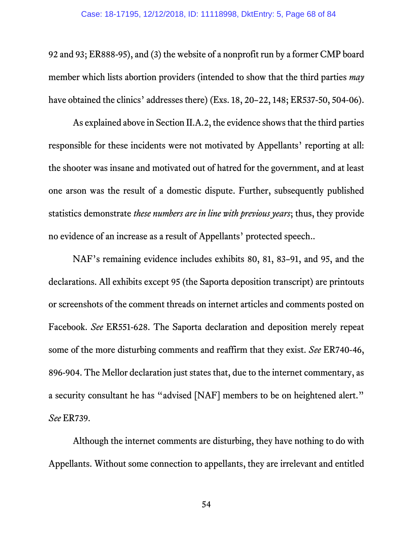92 and 93; ER888-95), and (3) the website of a nonprofit run by a former CMP board member which lists abortion providers (intended to show that the third parties *may* have obtained the clinics' addresses there) (Exs. 18, 20–22, 148; ER537-50, 504-06).

As explained above in Section II.A.2, the evidence shows that the third parties responsible for these incidents were not motivated by Appellants' reporting at all: the shooter was insane and motivated out of hatred for the government, and at least one arson was the result of a domestic dispute. Further, subsequently published statistics demonstrate *these numbers are in line with previous years*; thus, they provide no evidence of an increase as a result of Appellants' protected speech..

NAF's remaining evidence includes exhibits 80, 81, 83–91, and 95, and the declarations. All exhibits except 95 (the Saporta deposition transcript) are printouts or screenshots of the comment threads on internet articles and comments posted on Facebook. *See* ER551-628. The Saporta declaration and deposition merely repeat some of the more disturbing comments and reaffirm that they exist. *See* ER740-46, 896-904. The Mellor declaration just states that, due to the internet commentary, as a security consultant he has "advised [NAF] members to be on heightened alert." *See* ER739.

Although the internet comments are disturbing, they have nothing to do with Appellants. Without some connection to appellants, they are irrelevant and entitled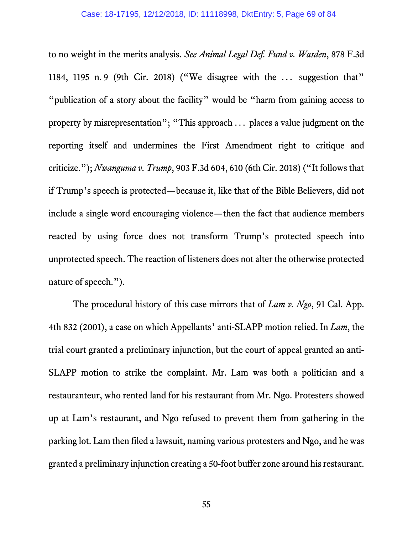to no weight in the merits analysis. *See Animal Legal Def. Fund v. Wasden*, 878 F.3d 1184, 1195 n. 9 (9th Cir. 2018) ("We disagree with the ... suggestion that" "publication of a story about the facility" would be "harm from gaining access to property by misrepresentation"; "This approach ... places a value judgment on the reporting itself and undermines the First Amendment right to critique and criticize."); *Nwanguma v. Trump*, 903 F.3d 604, 610 (6th Cir. 2018) ("It follows that if Trump's speech is protected—because it, like that of the Bible Believers, did not include a single word encouraging violence—then the fact that audience members reacted by using force does not transform Trump's protected speech into unprotected speech. The reaction of listeners does not alter the otherwise protected nature of speech.").

The procedural history of this case mirrors that of *Lam v. Ngo*, 91 Cal. App. 4th 832 (2001), a case on which Appellants' anti-SLAPP motion relied. In *Lam*, the trial court granted a preliminary injunction, but the court of appeal granted an anti-SLAPP motion to strike the complaint. Mr. Lam was both a politician and a restauranteur, who rented land for his restaurant from Mr. Ngo. Protesters showed up at Lam's restaurant, and Ngo refused to prevent them from gathering in the parking lot. Lam then filed a lawsuit, naming various protesters and Ngo, and he was granted a preliminary injunction creating a 50-foot buffer zone around his restaurant.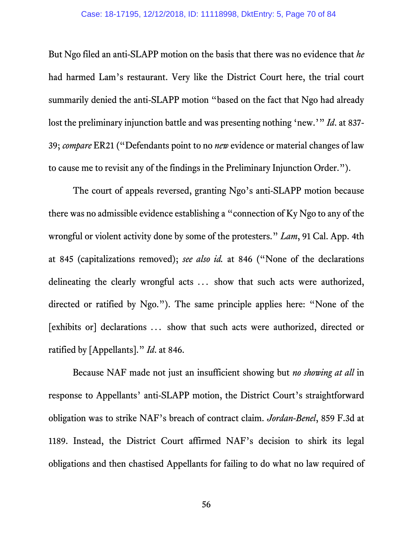But Ngo filed an anti-SLAPP motion on the basis that there was no evidence that *he* had harmed Lam's restaurant. Very like the District Court here, the trial court summarily denied the anti-SLAPP motion "based on the fact that Ngo had already lost the preliminary injunction battle and was presenting nothing 'new.'" *Id*. at 837- 39; *compare* ER21 ("Defendants point to no *new* evidence or material changes of law to cause me to revisit any of the findings in the Preliminary Injunction Order.").

The court of appeals reversed, granting Ngo's anti-SLAPP motion because there was no admissible evidence establishing a "connection of Ky Ngo to any of the wrongful or violent activity done by some of the protesters." *Lam*, 91 Cal. App. 4th at 845 (capitalizations removed); *see also id.* at 846 ("None of the declarations delineating the clearly wrongful acts ... show that such acts were authorized, directed or ratified by Ngo."). The same principle applies here: "None of the [exhibits or] declarations ... show that such acts were authorized, directed or ratified by [Appellants]." *Id*. at 846.

Because NAF made not just an insufficient showing but *no showing at all* in response to Appellants' anti-SLAPP motion, the District Court's straightforward obligation was to strike NAF's breach of contract claim. *Jordan-Benel*, 859 F.3d at 1189. Instead, the District Court affirmed NAF's decision to shirk its legal obligations and then chastised Appellants for failing to do what no law required of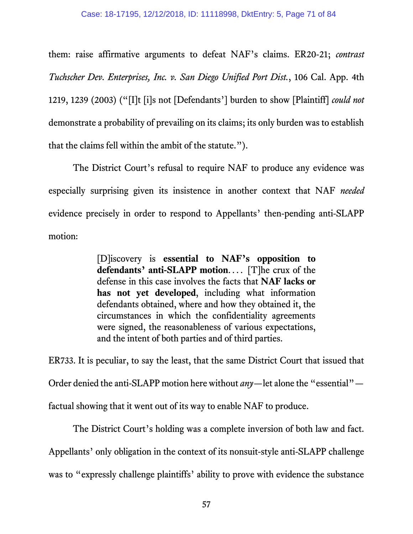them: raise affirmative arguments to defeat NAF's claims. ER20-21; *contrast Tuchscher Dev. Enterprises, Inc. v. San Diego Unified Port Dist.*, 106 Cal. App. 4th 1219, 1239 (2003) ("[I]t [i]s not [Defendants'] burden to show [Plaintiff] *could not* demonstrate a probability of prevailing on its claims; its only burden was to establish that the claims fell within the ambit of the statute.").

The District Court's refusal to require NAF to produce any evidence was especially surprising given its insistence in another context that NAF *needed* evidence precisely in order to respond to Appellants' then-pending anti-SLAPP motion:

> [D]iscovery is **essential to NAF's opposition to defendants' anti-SLAPP motion**... . [T]he crux of the defense in this case involves the facts that **NAF lacks or has not yet developed**, including what information defendants obtained, where and how they obtained it, the circumstances in which the confidentiality agreements were signed, the reasonableness of various expectations, and the intent of both parties and of third parties.

ER733. It is peculiar, to say the least, that the same District Court that issued that Order denied the anti-SLAPP motion here without *any*—let alone the "essential" factual showing that it went out of its way to enable NAF to produce.

The District Court's holding was a complete inversion of both law and fact. Appellants' only obligation in the context of its nonsuit-style anti-SLAPP challenge was to "expressly challenge plaintiffs' ability to prove with evidence the substance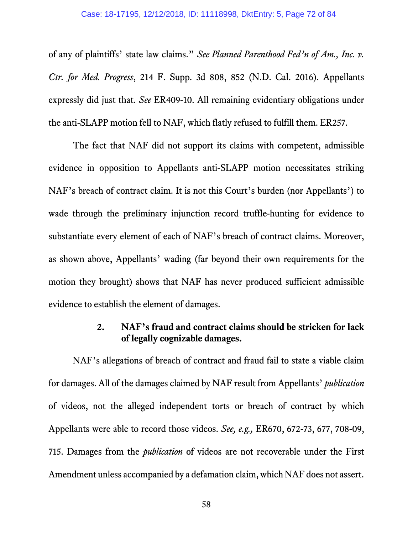of any of plaintiffs' state law claims." *See Planned Parenthood Fed'n of Am., Inc. v. Ctr. for Med. Progress*, 214 F. Supp. 3d 808, 852 (N.D. Cal. 2016). Appellants expressly did just that. *See* ER409-10. All remaining evidentiary obligations under the anti-SLAPP motion fell to NAF, which flatly refused to fulfill them. ER257.

The fact that NAF did not support its claims with competent, admissible evidence in opposition to Appellants anti-SLAPP motion necessitates striking NAF's breach of contract claim. It is not this Court's burden (nor Appellants') to wade through the preliminary injunction record truffle-hunting for evidence to substantiate every element of each of NAF's breach of contract claims. Moreover, as shown above, Appellants' wading (far beyond their own requirements for the motion they brought) shows that NAF has never produced sufficient admissible evidence to establish the element of damages.

#### **2. NAF's fraud and contract claims should be stricken for lack of legally cognizable damages.**

NAF's allegations of breach of contract and fraud fail to state a viable claim for damages. All of the damages claimed by NAF result from Appellants' *publication* of videos, not the alleged independent torts or breach of contract by which Appellants were able to record those videos. *See, e.g.,* ER670, 672-73, 677, 708-09, 715. Damages from the *publication* of videos are not recoverable under the First Amendment unless accompanied by a defamation claim, which NAF does not assert.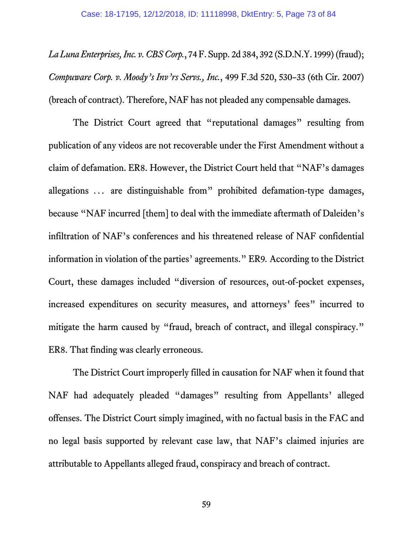*La Luna Enterprises, Inc. v. CBS Corp.*, 74 F. Supp. 2d 384, 392 (S.D.N.Y. 1999) (fraud); *Compuware Corp. v. Moody's Inv'rs Servs., Inc.*, 499 F.3d 520, 530–33 (6th Cir. 2007) (breach of contract). Therefore, NAF has not pleaded any compensable damages.

The District Court agreed that "reputational damages" resulting from publication of any videos are not recoverable under the First Amendment without a claim of defamation. ER8. However, the District Court held that "NAF's damages allegations ... are distinguishable from" prohibited defamation-type damages, because "NAF incurred [them] to deal with the immediate aftermath of Daleiden's infiltration of NAF's conferences and his threatened release of NAF confidential information in violation of the parties' agreements." ER9*.* According to the District Court, these damages included "diversion of resources, out-of-pocket expenses, increased expenditures on security measures, and attorneys' fees" incurred to mitigate the harm caused by "fraud, breach of contract, and illegal conspiracy." ER8. That finding was clearly erroneous.

The District Court improperly filled in causation for NAF when it found that NAF had adequately pleaded "damages" resulting from Appellants' alleged offenses. The District Court simply imagined, with no factual basis in the FAC and no legal basis supported by relevant case law, that NAF's claimed injuries are attributable to Appellants alleged fraud, conspiracy and breach of contract.

59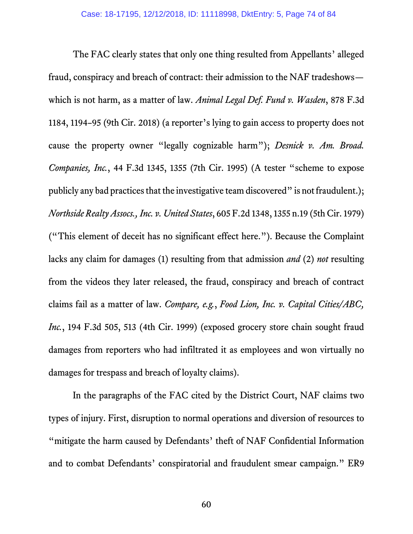The FAC clearly states that only one thing resulted from Appellants' alleged fraud, conspiracy and breach of contract: their admission to the NAF tradeshows which is not harm, as a matter of law. *Animal Legal Def. Fund v. Wasden*, 878 F.3d 1184, 1194–95 (9th Cir. 2018) (a reporter's lying to gain access to property does not cause the property owner "legally cognizable harm"); *Desnick v. Am. Broad. Companies, Inc.*, 44 F.3d 1345, 1355 (7th Cir. 1995) (A tester "scheme to expose publicly any bad practices that the investigative team discovered" is not fraudulent.); *Northside Realty Assocs., Inc. v. United States*, 605 F.2d 1348, 1355 n.19 (5th Cir. 1979) ("This element of deceit has no significant effect here."). Because the Complaint lacks any claim for damages (1) resulting from that admission *and* (2) *not* resulting from the videos they later released, the fraud, conspiracy and breach of contract claims fail as a matter of law. *Compare, e.g.*, *Food Lion, Inc. v. Capital Cities/ABC, Inc.*, 194 F.3d 505, 513 (4th Cir. 1999) (exposed grocery store chain sought fraud damages from reporters who had infiltrated it as employees and won virtually no damages for trespass and breach of loyalty claims).

In the paragraphs of the FAC cited by the District Court, NAF claims two types of injury. First, disruption to normal operations and diversion of resources to "mitigate the harm caused by Defendants' theft of NAF Confidential Information and to combat Defendants' conspiratorial and fraudulent smear campaign." ER9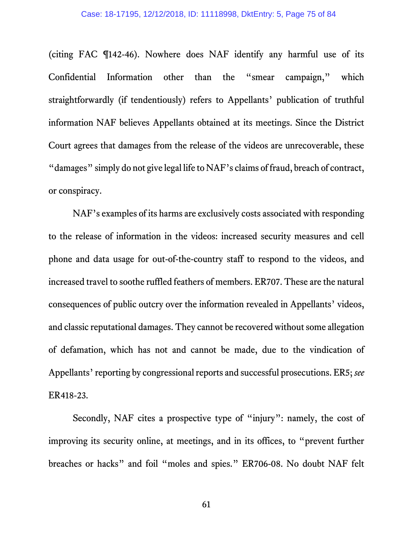(citing FAC ¶142-46). Nowhere does NAF identify any harmful use of its Confidential Information other than the "smear campaign," which straightforwardly (if tendentiously) refers to Appellants' publication of truthful information NAF believes Appellants obtained at its meetings. Since the District Court agrees that damages from the release of the videos are unrecoverable, these "damages" simply do not give legal life to NAF's claims of fraud, breach of contract, or conspiracy.

NAF's examples of its harms are exclusively costs associated with responding to the release of information in the videos: increased security measures and cell phone and data usage for out-of-the-country staff to respond to the videos, and increased travel to soothe ruffled feathers of members. ER707. These are the natural consequences of public outcry over the information revealed in Appellants' videos, and classic reputational damages. They cannot be recovered without some allegation of defamation, which has not and cannot be made, due to the vindication of Appellants' reporting by congressional reports and successful prosecutions. ER5; *see* ER418-23.

Secondly, NAF cites a prospective type of "injury": namely, the cost of improving its security online, at meetings, and in its offices, to "prevent further breaches or hacks" and foil "moles and spies." ER706-08. No doubt NAF felt

61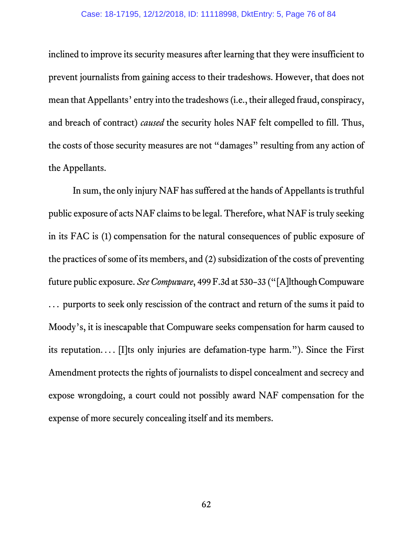inclined to improve its security measures after learning that they were insufficient to prevent journalists from gaining access to their tradeshows. However, that does not mean that Appellants' entry into the tradeshows(i.e., their alleged fraud, conspiracy, and breach of contract) *caused* the security holes NAF felt compelled to fill. Thus, the costs of those security measures are not "damages" resulting from any action of the Appellants.

In sum, the only injury NAF has suffered at the hands of Appellants is truthful public exposure of acts NAF claims to be legal. Therefore, what NAF is truly seeking in its FAC is (1) compensation for the natural consequences of public exposure of the practices of some of its members, and (2) subsidization of the costs of preventing future public exposure. *SeeCompuware*, 499 F.3d at 530–33 ("[A]lthough Compuware ... purports to seek only rescission of the contract and return of the sums it paid to Moody's, it is inescapable that Compuware seeks compensation for harm caused to its reputation... . [I]ts only injuries are defamation-type harm."). Since the First Amendment protects the rights of journalists to dispel concealment and secrecy and expose wrongdoing, a court could not possibly award NAF compensation for the expense of more securely concealing itself and its members.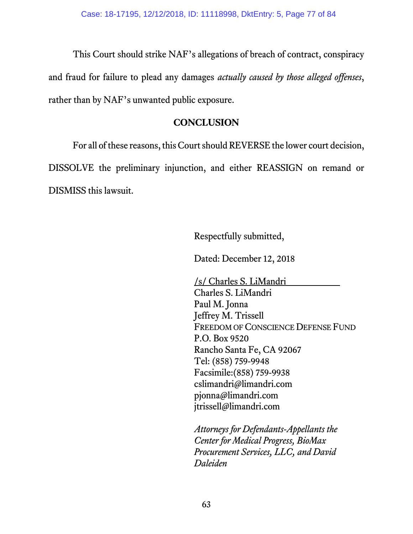This Court should strike NAF's allegations of breach of contract, conspiracy and fraud for failure to plead any damages *actually caused by those alleged offenses*, rather than by NAF's unwanted public exposure.

# **CONCLUSION**

For all of these reasons, this Court should REVERSE the lower court decision,

DISSOLVE the preliminary injunction, and either REASSIGN on remand or DISMISS this lawsuit.

Respectfully submitted,

Dated: December 12, 2018

/s/ Charles S. LiMandri Charles S. LiMandri Paul M. Jonna Jeffrey M. Trissell FREEDOM OF CONSCIENCE DEFENSE FUND P.O. Box 9520 Rancho Santa Fe, CA 92067 Tel: (858) 759-9948 Facsimile:(858) 759-9938 cslimandri@limandri.com pjonna@limandri.com jtrissell@limandri.com

*Attorneys for Defendants-Appellants the Center for Medical Progress, BioMax Procurement Services, LLC, and David Daleiden*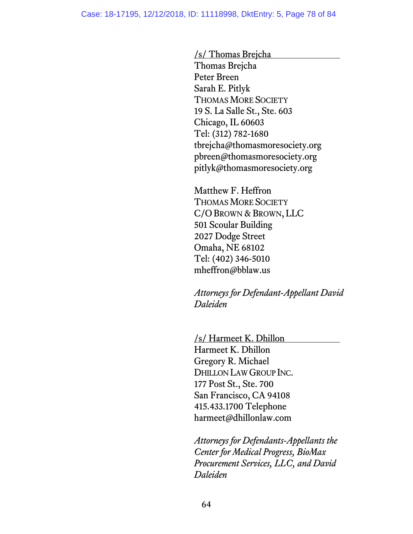/s/ Thomas Brejcha Thomas Brejcha Peter Breen Sarah E. Pitlyk THOMAS MORE SOCIETY 19 S. La Salle St., Ste. 603 Chicago, IL 60603 Tel: (312) 782-1680 tbrejcha@thomasmoresociety.org pbreen@thomasmoresociety.org pitlyk@thomasmoresociety.org

Matthew F. Heffron THOMAS MORE SOCIETY C/O BROWN & BROWN, LLC 501 Scoular Building 2027 Dodge Street Omaha, NE 68102 Tel: (402) 346-5010 mheffron@bblaw.us

*Attorneys for Defendant-Appellant David Daleiden*

/s/ Harmeet K. Dhillon Harmeet K. Dhillon Gregory R. Michael DHILLON LAW GROUP INC. 177 Post St., Ste. 700 San Francisco, CA 94108 415.433.1700 Telephone harmeet@dhillonlaw.com

*Attorneys for Defendants-Appellants the Center for Medical Progress, BioMax Procurement Services, LLC, and David Daleiden*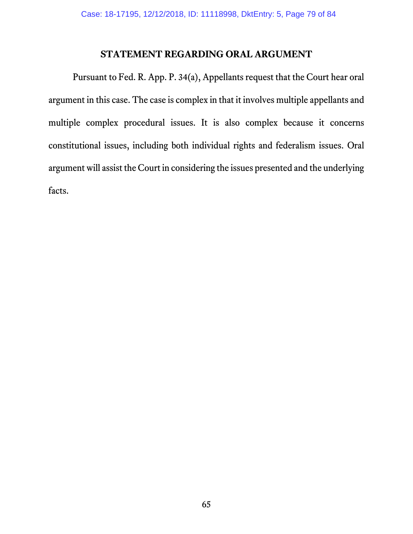#### **STATEMENT REGARDING ORAL ARGUMENT**

Pursuant to Fed. R. App. P. 34(a), Appellants request that the Court hear oral argument in this case. The case is complex in that it involves multiple appellants and multiple complex procedural issues. It is also complex because it concerns constitutional issues, including both individual rights and federalism issues. Oral argument will assist the Court in considering the issues presented and the underlying facts.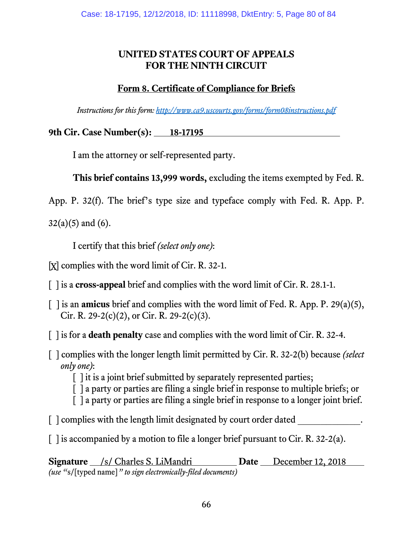### **UNITED STATES COURT OF APPEALS FOR THE NINTH CIRCUIT**

# **Form 8. Certificate of Compliance for Briefs**

*Instructions for this form: <http://www.ca9.uscourts.gov/forms/form08instructions.pdf>*

9th Cir. Case Number(s): 18-17195

I am the attorney or self-represented party.

**This brief contains 13,999 words,** excluding the items exempted by Fed. R.

App. P. 32(f). The brief's type size and typeface comply with Fed. R. App. P.

 $32(a)(5)$  and  $(6)$ .

I certify that this brief *(select only one)*:

[X] complies with the word limit of Cir. R. 32-1.

[ ] is a **cross-appeal** brief and complies with the word limit of Cir. R. 28.1-1.

- [ ] is an **amicus** brief and complies with the word limit of Fed. R. App. P. 29(a)(5), Cir. R. 29-2(c)(2), or Cir. R. 29-2(c)(3).
- [ ] is for a **death penalty** case and complies with the word limit of Cir. R. 32-4.
- [ ] complies with the longer length limit permitted by Cir. R. 32-2(b) because *(select only one)*:

[] it is a joint brief submitted by separately represented parties;

- [ ] a party or parties are filing a single brief in response to multiple briefs; or
- [ ] a party or parties are filing a single brief in response to a longer joint brief.
- $\lceil$   $\lceil$  complies with the length limit designated by court order dated  $\lceil$ .
- $\lceil$  1 is accompanied by a motion to file a longer brief pursuant to Cir. R. 32-2(a).

**Signature** /s/ Charles S. LiMandri **Date** December 12, 2018 *(use "*s/[typed name]*" to sign electronically-filed documents)*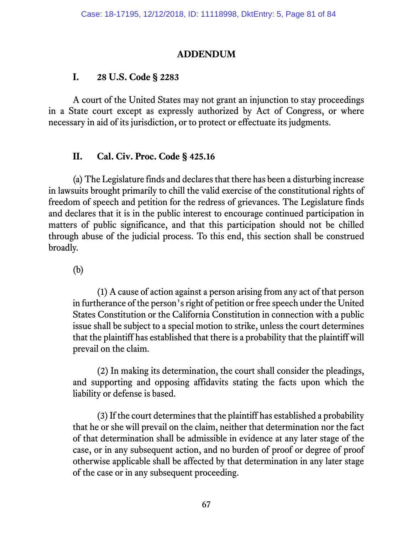#### **ADDENDUM**

#### **I. 28 U.S. Code § 2283**

A court of the United States may not grant an injunction to stay proceedings in a State court except as expressly authorized by Act of Congress, or where necessary in aid of its jurisdiction, or to protect or effectuate its judgments.

## **II. Cal. Civ. Proc. Code § 425.16**

(a) The Legislature finds and declares that there has been a disturbing increase in lawsuits brought primarily to chill the valid exercise of the constitutional rights of freedom of speech and petition for the redress of grievances. The Legislature finds and declares that it is in the public interest to encourage continued participation in matters of public significance, and that this participation should not be chilled through abuse of the judicial process. To this end, this section shall be construed broadly.

(b)

(1) A cause of action against a person arising from any act of that person in furtherance of the person's right of petition or free speech under the United States Constitution or the California Constitution in connection with a public issue shall be subject to a special motion to strike, unless the court determines that the plaintiff has established that there is a probability that the plaintiff will prevail on the claim.

(2) In making its determination, the court shall consider the pleadings, and supporting and opposing affidavits stating the facts upon which the liability or defense is based.

(3) If the court determines that the plaintiff has established a probability that he or she will prevail on the claim, neither that determination nor the fact of that determination shall be admissible in evidence at any later stage of the case, or in any subsequent action, and no burden of proof or degree of proof otherwise applicable shall be affected by that determination in any later stage of the case or in any subsequent proceeding.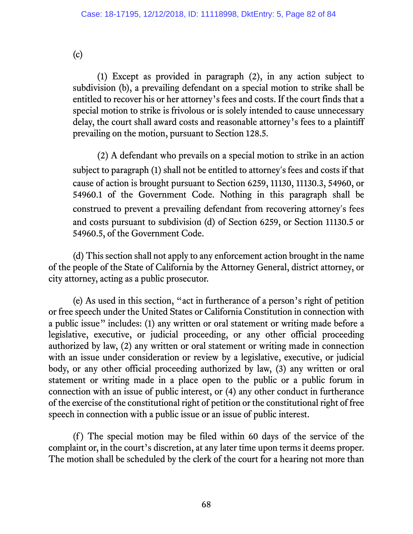(c)

(1) Except as provided in paragraph (2), in any action subject to subdivision (b), a prevailing defendant on a special motion to strike shall be entitled to recover his or her attorney's fees and costs. If the court finds that a special motion to strike is frivolous or is solely intended to cause unnecessary delay, the court shall award costs and reasonable attorney's fees to a plaintiff prevailing on the motion, pursuant to Section 128.5.

(2) A defendant who prevails on a special motion to strike in an action subject to paragraph (1) shall not be entitled to attorney's fees and costs if that cause of action is brought pursuant to Section 6259, 11130, 11130.3, 54960, or 54960.1 of the Government Code. Nothing in this paragraph shall be construed to prevent a prevailing defendant from recovering attorney's fees and costs pursuant to subdivision (d) of Section 6259, or Section 11130.5 or 54960.5, of the Government Code.

(d) This section shall not apply to any enforcement action brought in the name of the people of the State of California by the Attorney General, district attorney, or city attorney, acting as a public prosecutor.

(e) As used in this section, "act in furtherance of a person's right of petition or free speech under the United States or California Constitution in connection with a public issue" includes: (1) any written or oral statement or writing made before a legislative, executive, or judicial proceeding, or any other official proceeding authorized by law, (2) any written or oral statement or writing made in connection with an issue under consideration or review by a legislative, executive, or judicial body, or any other official proceeding authorized by law, (3) any written or oral statement or writing made in a place open to the public or a public forum in connection with an issue of public interest, or (4) any other conduct in furtherance of the exercise of the constitutional right of petition or the constitutional right of free speech in connection with a public issue or an issue of public interest.

(f ) The special motion may be filed within 60 days of the service of the complaint or, in the court's discretion, at any later time upon terms it deems proper. The motion shall be scheduled by the clerk of the court for a hearing not more than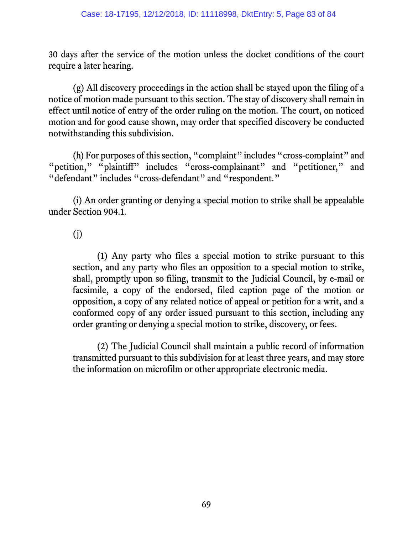30 days after the service of the motion unless the docket conditions of the court require a later hearing.

(g) All discovery proceedings in the action shall be stayed upon the filing of a notice of motion made pursuant to this section. The stay of discovery shall remain in effect until notice of entry of the order ruling on the motion. The court, on noticed motion and for good cause shown, may order that specified discovery be conducted notwithstanding this subdivision.

(h) For purposes of this section, "complaint" includes "cross-complaint" and "petition," "plaintiff" includes "cross-complainant" and "petitioner," and "defendant" includes "cross-defendant" and "respondent."

(i) An order granting or denying a special motion to strike shall be appealable under Section 904.1.

(j)

(1) Any party who files a special motion to strike pursuant to this section, and any party who files an opposition to a special motion to strike, shall, promptly upon so filing, transmit to the Judicial Council, by e-mail or facsimile, a copy of the endorsed, filed caption page of the motion or opposition, a copy of any related notice of appeal or petition for a writ, and a conformed copy of any order issued pursuant to this section, including any order granting or denying a special motion to strike, discovery, or fees.

(2) The Judicial Council shall maintain a public record of information transmitted pursuant to this subdivision for at least three years, and may store the information on microfilm or other appropriate electronic media.